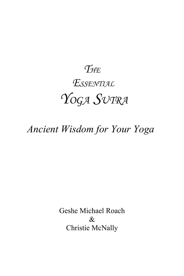# *THE ESSENTIAL YOGA SUTRA*

## *Ancient Wisdom for Your Yoga*

Geshe Michael Roach  $\mathcal{R}_{\mathcal{L}}$ Christie McNally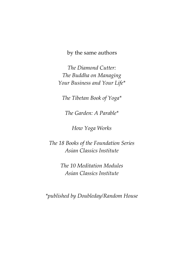by the same authors

*The Diamond Cutter: The Buddha on Managing Your Business and Your Life\**

*The Tibetan Book of Yoga\**

*The Garden: A Parable\**

*How Yoga Works*

*The 18 Books of the Foundation Series Asian Classics Institute*

> *The 10 Meditation Modules Asian Classics Institute*

*\*published by Doubleday/Random House*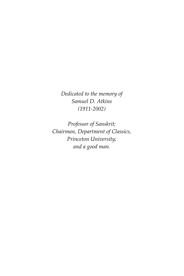*Dedicated to the memory of Samuel D. Atkins (1911-2002)*

*Professor of Sanskrit; Chairman, Department of Classics, Princeton University; and a good man.*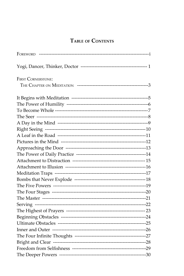## TABLE OF CONTENTS

| FOREWORD                  |  |
|---------------------------|--|
|                           |  |
| <b>FIRST CORNERSTONE:</b> |  |
|                           |  |
|                           |  |
|                           |  |
|                           |  |
|                           |  |
|                           |  |
|                           |  |
|                           |  |
|                           |  |
|                           |  |
|                           |  |
|                           |  |
|                           |  |
|                           |  |
|                           |  |
|                           |  |
|                           |  |
|                           |  |
|                           |  |
|                           |  |
|                           |  |
|                           |  |
|                           |  |
|                           |  |
|                           |  |
|                           |  |
|                           |  |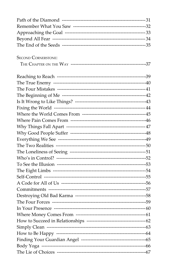| <b>SECOND CORNERSTONE:</b> |  |
|----------------------------|--|
|                            |  |
|                            |  |
|                            |  |
|                            |  |
|                            |  |
|                            |  |
|                            |  |
|                            |  |
|                            |  |
|                            |  |
|                            |  |
|                            |  |
|                            |  |
|                            |  |
|                            |  |
|                            |  |
|                            |  |
|                            |  |
|                            |  |
|                            |  |
|                            |  |
|                            |  |
|                            |  |
|                            |  |
|                            |  |
|                            |  |
|                            |  |
|                            |  |
|                            |  |
|                            |  |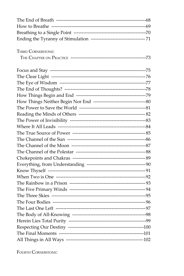| Ending the Tyranny of Stimulation -----------------------------------71 |  |
|-------------------------------------------------------------------------|--|
|                                                                         |  |
| THIRD CORNERSTONE:                                                      |  |
|                                                                         |  |
|                                                                         |  |
|                                                                         |  |
|                                                                         |  |
|                                                                         |  |
|                                                                         |  |
|                                                                         |  |
|                                                                         |  |
|                                                                         |  |
|                                                                         |  |
|                                                                         |  |
|                                                                         |  |
|                                                                         |  |
|                                                                         |  |
|                                                                         |  |
|                                                                         |  |
|                                                                         |  |
|                                                                         |  |
|                                                                         |  |
|                                                                         |  |
|                                                                         |  |
|                                                                         |  |
|                                                                         |  |
|                                                                         |  |
|                                                                         |  |
|                                                                         |  |
|                                                                         |  |
|                                                                         |  |
|                                                                         |  |

FOURTH CORNERSTONE: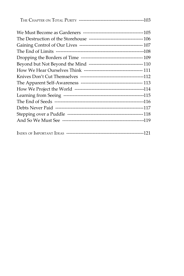| THE CHAPTER ON TOTAL PURITY |  |
|-----------------------------|--|
|-----------------------------|--|

| Beyond but Not Beyond the Mind ---------------------------------- 110 |  |
|-----------------------------------------------------------------------|--|
|                                                                       |  |
|                                                                       |  |
|                                                                       |  |
|                                                                       |  |
|                                                                       |  |
|                                                                       |  |
|                                                                       |  |
|                                                                       |  |
|                                                                       |  |
|                                                                       |  |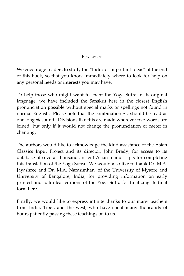#### **FOREWORD**

We encourage readers to study the "Index of Important Ideas" at the end of this book, so that you know immediately where to look for help on any personal needs or interests you may have.

To help those who might want to chant the Yoga Sutra in its original language, we have included the Sanskrit here in the closest English pronunciation possible without special marks or spellings not found in normal English. Please note that the combination *a-a* should be read as one long *ah* sound. Divisions like this are made wherever two words are joined, but only if it would not change the pronunciation or meter in chanting.

The authors would like to acknowledge the kind assistance of the Asian Classics Input Project and its director, John Brady, for access to its database of several thousand ancient Asian manuscripts for completing this translation of the Yoga Sutra. We would also like to thank Dr. M.A. Jayashree and Dr. M.A. Narasimhan, of the University of Mysore and University of Bangalore, India, for providing information on early printed and palm-leaf editions of the Yoga Sutra for finalizing its final form here.

Finally, we would like to express infinite thanks to our many teachers from India, Tibet, and the west, who have spent many thousands of hours patiently passing these teachings on to us.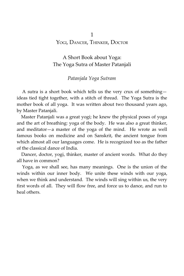## YOGI, DANCER, THINKER, DOCTOR

## A Short Book about Yoga: The Yoga Sutra of Master Patanjali

#### *Patanjala Yoga Sutram*

A sutra is a short book which tells us the very crux of something ideas tied tight together, with a stitch of thread. The Yoga Sutra is the mother book of all yoga. It was written about two thousand years ago, by Master Patanjali.

Master Patanjali was a great yogi; he knew the physical poses of yoga and the art of breathing: yoga of the body. He was also a great thinker, and meditator—a master of the yoga of the mind. He wrote as well famous books on medicine and on Sanskrit, the ancient tongue from which almost all our languages come. He is recognized too as the father of the classical dance of India.

Dancer, doctor, yogi, thinker, master of ancient words. What do they all have in common?

Yoga, as we shall see, has many meanings. One is the union of the winds within our inner body. We unite these winds with our yoga, when we think and understand. The winds will sing within us, the very first words of all. They will flow free, and force us to dance, and run to heal others.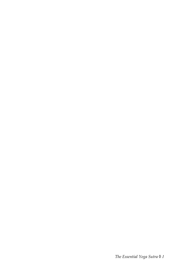The Essential Yoga Sutra Q 1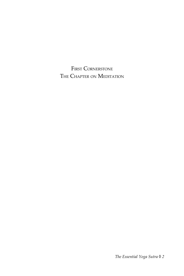**FIRST CORNERSTONE** THE CHAPTER ON MEDITATION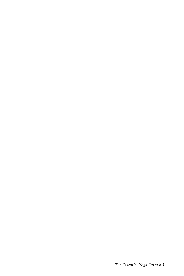The Essential Yoga Sutra 0 3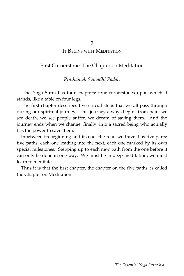## $\mathcal{P}$ IT BEGINS WITH MEDITATION

#### First Cornerstone: The Chapter on Meditation

#### *Prathamah Samadhi Padah*

The Yoga Sutra has four chapters: four cornerstones upon which it stands, like a table on four legs.

The first chapter describes five crucial steps that we all pass through during our spiritual journey. This journey always begins from pain: we see death, we see people suffer, we dream of saving them. And the journey ends when we change, finally, into a sacred being who actually has the power to save them.

Inbetween its beginning and its end, the road we travel has five parts: five paths, each one leading into the next, each one marked by its own special milestones. Stepping up to each new path from the one before it can only be done in one way. We must be in deep meditation; we must learn to meditate.

Thus it is that the first chapter, the chapter on the five paths, is called the Chapter on Meditation.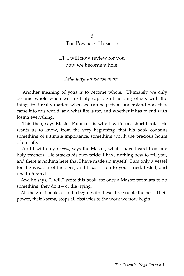## THE POWER OF HUMILITY

### I.1 I will now review for you how we become whole.

#### *Atha yoga-anushashanam.*

Another meaning of yoga is to become whole. Ultimately we only become whole when we are truly capable of helping others with the things that really matter: when we can help them understand how they came into this world, and what life is for, and whether it has to end with losing everything.

This then, says Master Patanjali, is why I write my short book. He wants us to know, from the very beginning, that his book contains something of ultimate importance, something worth the precious hours of our life.

And I will only *review,* says the Master, what I have heard from my holy teachers. He attacks his own pride: I have nothing new to tell you, and there is nothing here that I have made up myself. I am only a vessel for the wisdom of the ages, and I pass it on to you—tried, tested, and unadulterated.

And he says, "I will" write this book, for once a Master promises to do something, they do it—or die trying.

All the great books of India begin with these three noble themes. Their power, their karma, stops all obstacles to the work we now begin.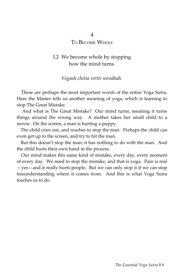## TO BECOME WHOLE

## I.2 We become whole by stopping how the mind turns.

#### *Yogash chitta virtti nirodhah.*

These are perhaps the most important words of the entire Yoga Sutra. Here the Master tells us another meaning of yoga, which is learning to stop The Great Mistake.

And what is The Great Mistake? Our mind turns; meaning it turns things around the wrong way. A mother takes her small child to a movie. On the screen, a man is hurting a puppy.

The child cries out, and reaches to stop the man. Perhaps the child can even get up to the screen, and try to hit the man.

But this doesn't stop the man; it has nothing to do with the man. And the child hurts their own hand in the process.

Our mind makes this same kind of mistake, every day, every moment of every day. We need to stop the mistake, and that is yoga. Pain is real —yes—and it really hurts people. But we can only stop it if we can stop misunderstanding where it comes from. And this is what Yoga Sutra teaches us to do.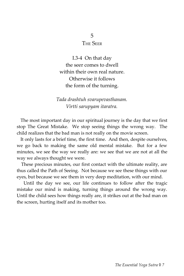#### THE SEER

I.3-4 On that day the seer comes to dwell within their own real nature. Otherwise it follows the form of the turning.

*Tada drashtuh svarupevasthanam. Virtti sarupyam itaratra.*

The most important day in our spiritual journey is the day that we first stop The Great Mistake. We stop seeing things the wrong way. The child realizes that the bad man is not really on the movie screen.

It only lasts for a brief time, the first time. And then, despite ourselves, we go back to making the same old mental mistake. But for a few minutes, we see the way we really are: we see that we are not at all the way we always thought we were.

These precious minutes, our first contact with the ultimate reality, are thus called the Path of Seeing. Not because we see these things with our eyes, but because we see them in very deep meditation, with our mind.

Until the day we see, our life continues to follow after the tragic mistake our mind is making, turning things around the wrong way. Until the child sees how things really are, it strikes out at the bad man on the screen, hurting itself and its mother too.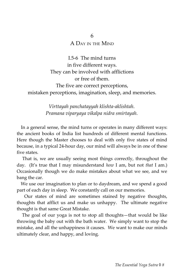## A DAY IN THE MIND

I.5-6 The mind turns in five different ways. They can be involved with afflictions or free of them.

The five are correct perceptions, mistaken perceptions, imagination, sleep, and memories.

> *Virttayah panchatayyah klishta-aklishtah. Pramana viparyaya vikalpa nidra smirtayah.*

In a general sense, the mind turns or operates in many different ways: the ancient books of India list hundreds of different mental functions. Here though the Master chooses to deal with only five states of mind because, in a typical 24-hour day, our mind will always be in one of these five states.

That is, we are usually seeing most things correctly, throughout the day. (It's true that I may misunderstand *how* I am, but not *that* I am.) Occasionally though we do make mistakes about what we see, and we bang the car.

We use our imagination to plan or to daydream, and we spend a good part of each day in sleep. We constantly call on our memories.

Our states of mind are sometimes stained by negative thoughts, thoughts that afflict us and make us unhappy. The ultimate negative thought is that same Great Mistake.

The goal of our yoga is not to stop all thoughts—that would be like throwing the baby out with the bath water. We simply want to stop the mistake, and all the unhappiness it causes. We want to make our minds ultimately clear, and happy, and loving.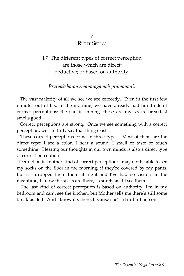#### RIGHT SEEING

## I.7 The different types of correct perception are those which are direct; deductive; or based on authority.

#### *Pratyaksha-anumana-agamah pramanani.*

The vast majority of all we see we see correctly. Even in the first few minutes out of bed in the morning, we have already had hundreds of correct perceptions: the sun is shining, these are my socks, breakfast smells good.

Correct perceptions are strong. Once we see something with a correct perception, we can truly say that thing exists.

These correct perceptions come in three types. Most of them are the direct type: I see a color, I hear a sound, I smell or taste or touch something. Hearing our thoughts in our own minds is also a direct type of correct perception.

Deduction is another kind of correct perception: I may not be able to see my socks on the floor in the morning, if they're covered by my pants. But if I dropped them there at night and I've had no visitors in the meantime, I know the socks are there, as surely as if I see them.

The last kind of correct perception is based on authority: I'm in my bedroom and can't see the kitchen, but Mother tells me there's still some breakfast left. And I know it's there, because she's a truthful person.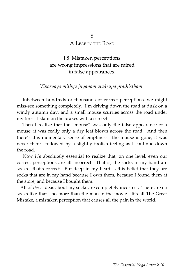A LEAF IN THE ROAD

## I.8 Mistaken perceptions are wrong impressions that are mired in false appearances.

#### *Viparyayo mithya jnyanam atadrupa prathistham.*

Inbetween hundreds or thousands of correct perceptions, we might miss-see something completely. I'm driving down the road at dusk on a windy autumn day, and a small mouse scurries across the road under my tires. I slam on the brakes with a screech.

Then I realize that the "mouse" was only the false appearance of a mouse: it was really only a dry leaf blown across the road. And then there's this momentary sense of emptiness—the mouse is gone, it was never there—followed by a slightly foolish feeling as I continue down the road.

Now it's absolutely essential to realize that, on one level, even our correct perceptions are all incorrect. That is, the socks in my hand are socks—that's correct. But deep in my heart is this belief that they are socks that are in my hand because I own them, because I found them at the store, and because I bought them.

 All of *these* ideas about my socks are completely incorrect. There are no socks like that—no more than the man in the movie. It's all The Great Mistake, a mistaken perception that causes all the pain in the world.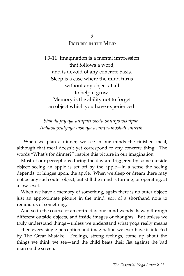## 9 PICTURES IN THE MIND

I.9-11 Imagination is a mental impression that follows a word, and is devoid of any concrete basis. Sleep is a case where the mind turns without any object at all to help it grow. Memory is the ability not to forget an object which you have experienced.

*Shabda jnyaya-anupati vastu shunyo vikalpah. Abhava pratyaya vishaya-asampramoshah smirtih.*

When we plan a dinner, we see in our minds the finished meal, although that meal doesn't yet correspond to any concrete thing. The words "What's for dinner?" inspire this picture in our imagination.

Most of our perceptions during the day are triggered by some outside object: seeing an apple is set off by the apple—in a sense the seeing depends, or hinges upon, the apple. When we sleep or dream there may not be any such outer object, but still the mind is turning, or operating, at a low level.

When we have a memory of something, again there is no outer object: just an approximate picture in the mind, sort of a shorthand note to remind us of something.

And so in the course of an entire day our mind wends its way through different outside objects, and inside images or thoughts. But unless we truly understand things—unless we understand what yoga really means —then every single perception and imagination we ever have is infected by The Great Mistake. Feelings, strong feelings, come up about the things we think we see—and the child beats their fist against the bad man on the screen.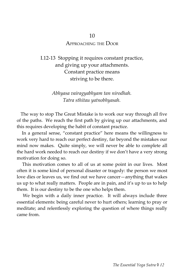## APPROACHING THE DOOR

## I.12-13 Stopping it requires constant practice, and giving up your attachments. Constant practice means striving to be there.

*Abhyasa vairagyabhyam tan nirodhah. Tatra sthitau yatnobhyasah.*

The way to stop The Great Mistake is to work our way through all five of the paths. We reach the first path by giving up our attachments, and this requires developing the habit of constant practice.

In a general sense, "constant practice" here means the willingness to work very hard to reach our perfect destiny, far beyond the mistakes our mind now makes. Quite simply, we will never be able to complete all the hard work needed to reach our destiny if we don't have a very strong motivation for doing so.

This motivation comes to all of us at some point in our lives. Most often it is some kind of personal disaster or tragedy: the person we most love dies or leaves us, we find out we have cancer—anything that wakes us up to what really matters. People are in pain, and it's up to us to help them. It is our destiny to be the one who helps them.

We begin with a daily inner practice. It will always include three essential elements: being careful never to hurt others; learning to pray or meditate; and relentlessly exploring the question of where things really came from.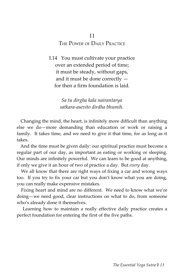## 11 THE POWER OF DAILY PRACTICE

I.14 You must cultivate your practice over an extended period of time; it must be steady, without gaps, and it must be done correctly for then a firm foundation is laid.

> *Sa tu dirgha kala nairantarya satkara-asevito dirdha bhumih.*

Changing the mind, the heart, is infinitely more difficult than anything else we do—more demanding than education or work or raising a family. It takes time, and we need to give it that time, for as long as it takes.

 And the time must be given daily: our spiritual practice must become a regular part of our day, as important as eating or working or sleeping. Our minds are infinitely powerful. We can learn to be good at anything, if only we give it an hour of two of practice a day. But *every* day.

We all know that there are right ways of fixing a car and wrong ways too. If you try to fix your car but you don't know what you are doing, you can really make expensive mistakes.

Fixing heart and mind are no different. We need to know what we're doing—we need good, clear instructions on what to do, from someone who's already done it themselves.

Learning how to maintain a really effective daily practice creates a perfect foundation for entering the first of the five paths.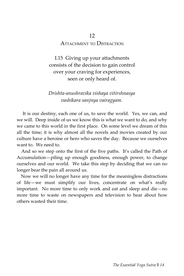## ATTACHMENT TO DISTRACTION

I.15 Giving up your attachments consists of the decision to gain control over your craving for experiences, seen or only heard of.

*Drishta-anushravika vishaya vitirshnasya vashikara sanjnya vairagyam.*

It is our destiny, each one of us, to save the world. Yes, we can, and we will. Deep inside of us we know this is what we want to do, and why we came to this world in the first place. On some level we dream of this all the time; it is why almost all the novels and movies created by our culture have a heroine or hero who saves the day. Because we ourselves want to. We need to.

And so we step onto the first of the five paths. It's called the Path of Accumulation—piling up enough goodness, enough power, to change ourselves and our world. We take this step by deciding that we can no longer bear the pain all around us.

Now we will no longer have any time for the meaningless distractions of life—we must simplify our lives, concentrate on what's really important. No more time to only work and eat and sleep and die—no more time to waste on newspapers and television to hear about how others wasted their time.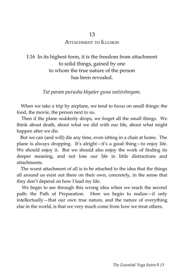## ATTACHMENT TO ILLUSION

I.16 In its highest form, it is the freedom from attachment to solid things, gained by one to whom the true nature of the person has been revealed.

*Tat param purusha khyater guna vaitirshnyam.*

When we take a trip by airplane, we tend to focus on small things: the food, the movie, the person next to us.

Then if the plane suddenly drops, we forget all the small things. We think about death, about what we did with our life, about what might happen after we die.

 But we can (and will) die any time, even sitting in a chair at home. The plane is always dropping. It's alright—it's a good thing—to enjoy life. We should enjoy it. But we should also enjoy the work of finding its deeper meaning, and not lose our life in little distractions and attachments.

The worst attachment of all is to be attached to the idea that the things all around us exist out there on their own, concretely, in the sense that they don't depend on how I lead my life.

We begin to see through this wrong idea when we reach the second path: the Path of Preparation. Here we begin to realize—if only intellectually—that our own true nature, and the nature of everything else in the world, is that we very much come from how we treat others.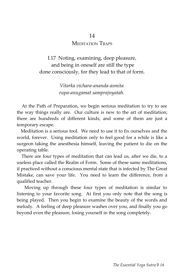#### MEDITATION TRAPS

## I.17 Noting, examining, deep pleasure, and being in oneself are still the type done consciously, for they lead to that of form.

*Vitarka vichara-ananda-asmita rupa-anugamat samprajnyatah.*

At the Path of Preparation, we begin serious meditation to try to see the way things really are. Our culture is new to the art of meditation; there are hundreds of different kinds, and some of them are just a temporary escape.

Meditation is a serious tool. We need to use it to fix ourselves and the world, forever. Using meditation only to feel good for a while is like a surgeon taking the anesthesia himself, leaving the patient to die on the operating table.

There are four types of meditation that can lead us, after we die, to a useless place called the Realm of Form. Some of these same meditations, if practiced without a conscious mental state that is infected by The Great Mistake, can save your life. You need to learn the difference, from a qualified teacher.

Moving up through these four types of meditation is similar to listening to your favorite song. At first you only note that the song is being played. Then you begin to examine the beauty of the words and melody. A feeling of deep pleasure washes over you, and finally you go beyond even the pleasure, losing yourself in the song completely.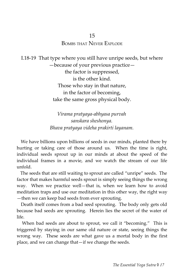## 15 BOMBS THAT NEVER EXPLODE

I.18-19 That type where you still have unripe seeds, but where —because of your previous practice the factor is suppressed, is the other kind. Those who stay in that nature, in the factor of becoming, take the same gross physical body.

> *Virama pratyaya-abhyasa purvah sanskara sheshonya. Bhava pratyaya videha prakirti layanam.*

We have billions upon billions of seeds in our minds, planted there by hurting or taking care of those around us. When the time is right, individual seeds sprout up in our minds at about the speed of the individual frames in a movie, and we watch the stream of our life unfold.

 The seeds that are still waiting to sprout are called "unripe" seeds. The factor that makes harmful seeds sprout is simply seeing things the wrong way. When we practice well—that is, when we learn how to avoid meditation traps and use our meditation in this other way, the right way —then we can keep bad seeds from ever sprouting.

Death itself comes from a bad seed sprouting. The body only gets old because bad seeds are sprouting. Herein lies the secret of the water of life.

When bad seeds are about to sprout, we call it "becoming." This is triggered by staying in our same old nature or state, seeing things the wrong way. These seeds are what gave us a mortal body in the first place, and we can change that—if we change the seeds.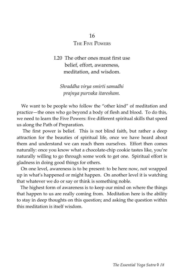#### THE FIVE POWERS

## I.20 The other ones must first use belief, effort, awareness, meditation, and wisdom.

*Shraddha virya smirti samadhi prajnya purvaka itaresham.*

We want to be people who follow the "other kind" of meditation and practice—the ones who go beyond a body of flesh and blood. To do this, we need to learn the Five Powers: five different spiritual skills that speed us along the Path of Preparation.

The first power is belief. This is not blind faith, but rather a deep attraction for the beauties of spiritual life, once we have heard about them and understand we can reach them ourselves. Effort then comes naturally: once you know what a chocolate-chip cookie tastes like, you're naturally willing to go through some work to get one. Spiritual effort is gladness in doing good things for others.

On one level, awareness is to be present: to be here now, not wrapped up in what's happened or might happen. On another level it is watching that whatever we do or say or think is something noble.

 The highest form of awareness is to keep our mind on where the things that happen to us are really coming from. Meditation here is the ability to stay in deep thoughts on this question; and asking the question within this meditation is itself wisdom.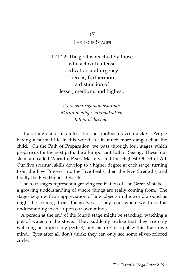## 17 THE FOUR STAGES

I.21-22 The goal is reached by those who act with intense dedication and urgency. There is, furthermore, a distinction of lesser, medium, and highest.

> *Tivra samveganam asannah. Mirdu madhya-adhimatratvat tatopi visheshah.*

If a young child falls into a fire, her mother moves quickly. People having a normal life in this world are in much more danger than the child. On the Path of Preparation, we pass through four stages which prepare us for the next path, the all-important Path of Seeing. These four steps are called Warmth, Peak, Mastery, and the Highest Object of All. Our five spiritual skills develop to a higher degree at each stage, turning from the Five Powers into the Five Peaks, then the Five Strengths, and finally the Five Highest Objects.

The four stages represent a growing realization of The Great Mistake a growing understanding of where things are really coming from. The stages begin with an appreciation of how objects in the world around us might be coming from themselves. They end when we turn this understanding inside, upon our own minds.

A person at the end of the fourth stage might be standing, watching a pot of water on the stove. They suddenly realize that they are only watching an impossibly perfect, tiny picture of a pot within their own mind. Eyes after all don't think; they can only see some silver-colored circle.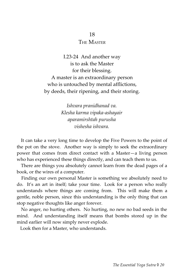## **THE MASTER**

I.23-24 And another way is to ask the Master for their blessing. A master is an extraordinary person who is untouched by mental afflictions, by deeds, their ripening, and their storing.

> *Ishvara pranidhanad va. Klesha karma vipaka-ashayair aparamirshtah purusha vishesha ishvara.*

It can take a very long time to develop the Five Powers to the point of the pot on the stove. Another way is simply to seek the extraordinary power that comes from direct contact with a Master—a living person who has experienced these things directly, and can teach them to us.

There are things you absolutely cannot learn from the dead pages of a book, or the wires of a computer.

Finding our own personal Master is something we absolutely need to do. It's an art in itself; take your time. Look for a person who really understands where things are coming from. This will make them a gentle, noble person, since this understanding is the only thing that can stop negative thoughts like anger forever.

No anger, no hurting others. No hurting, no new no bad seeds in the mind. And understanding itself means that bombs stored up in the mind earlier will now simply never explode.

Look then for a Master, who understands.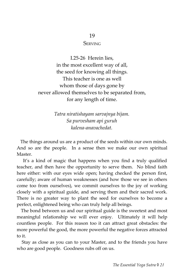#### **SERVING**

I.25-26 Herein lies, in the most excellent way of all, the seed for knowing all things. This teacher is one as well whom those of days gone by never allowed themselves to be separated from, for any length of time.

> *Tatra niratishayam sarvajnya bijam. Sa purvesham api guruh kalena-anavachedat.*

 The things around us are a product of the seeds within our own minds. And so are the people. In a sense then we make our own spiritual Master.

It's a kind of magic that happens when you find a truly qualified teacher, and then have the opportunity to serve them. No blind faith here either: with our eyes wide open; having checked the person first, carefully; aware of human weaknesses (and how those we see in others come too from ourselves), we commit ourselves to the joy of working closely with a spiritual guide, and serving them and their sacred work. There is no greater way to plant the seed for ourselves to become a perfect, enlightened being who can truly help all beings.

The bond between us and our spiritual guide is the sweetest and most meaningful relationship we will ever enjoy. Ultimately it will help countless people. For this reason too it can attract great obstacles: the more powerful the good, the more powerful the negative forces attracted to it.

Stay as close as you can to your Master, and to the friends you have who are good people. Goodness rubs off on us.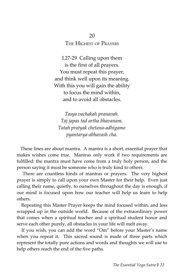## 20 THE HIGHEST OF PRAYERS

I.27-29 Calling upon them is the first of all prayers. You must repeat this prayer, and think well upon its meaning. With this you will gain the ability to focus the mind within, and to avoid all obstacles.

*Tasya vachakah pranavah. Taj japas tad artha bhavanam. Tatah pratyak chetana-adhigamo pyantarya-abhavash cha.*

These lines are about mantra. A mantra is a short, essential prayer that makes wishes come true. Mantras only work if two requirements are fulfilled: the mantra must have come from a truly holy person, and the person saying it must be someone who is truly kind to others.

There are countless kinds of mantras or prayers. The very highest prayer is simply to call upon your own Master for their help. Even just calling their name, quietly, to ourselves throughout the day is enough, if our mind is focused upon how our teacher will help us learn to help others.

Repeating this Master Prayer keeps the mind focused within, and less wrapped up in the outside world. Because of the extraordinary power that comes when a spiritual teacher and a spiritual student honor and serve each other purely, all obstacles in your life will melt away.

If you wish, you can add the word "Om" before your Master's name when you repeat it. This sacred sound is made of three parts which represent the totally pure actions and words and thoughts we will use to help others reach the end of the five paths.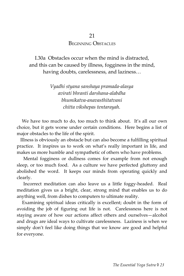## 21 BEGINNING OBSTACLES

I.30a Obstacles occur when the mind is distracted, and this can be caused by illness, fogginess in the mind, having doubts, carelessness, and laziness…

> *Vyadhi styana sanshaya pramada-alasya avirati bhranti darshana-alabdha bhumikatva-anavasthitatvani chitta vikshepas tentarayah.*

We have too much to do, too much to think about. It's all our own choice, but it gets worse under certain conditions. Here begins a list of major obstacles to the life of the spirit.

 Illness is obviously an obstacle but can also become a fulfilling spiritual practice. It inspires us to work on what's really important in life, and makes us more humble and sympathetic of others who have problems.

Mental fogginess or dullness comes for example from not enough sleep, or too much food. As a culture we have perfected gluttony and abolished the word. It keeps our minds from operating quickly and clearly.

Incorrect meditation can also leave us a little foggy-headed. Real meditation gives us a bright, clear, strong mind that enables us to do anything well, from dishes to computers to ultimate reality.

Examining spiritual ideas critically is excellent; doubt in the form of avoiding the job of figuring out life is not. Carelessness here is not staying aware of how our actions affect others and ourselves—alcohol and drugs are ideal ways to cultivate carelessness. Laziness is when we simply don't feel like doing things that we know are good and helpful for everyone.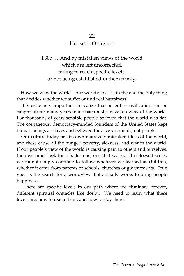#### 22 ULTIMATE OBSTACLES

I.30b …And by mistaken views of the world which are left uncorrected, failing to reach specific levels, or not being established in them firmly.

How we view the world—our worldview—is in the end the only thing that decides whether we suffer or find real happiness.

It's extremely important to realize that an entire civilization can be caught up for many years in a disastrously mistaken view of the world. For thousands of years sensible people believed that the world was flat. The courageous, democracy-minded founders of the United States kept human beings as slaves and believed they were animals, not people.

Our culture today has its own massively mistaken ideas of the world, and these cause all the hunger, poverty, sickness, and war in the world. If our people's view of the world is causing pain to others and ourselves, then we must look for a better one, one that works. If it doesn't work, we cannot simply continue to follow whatever we learned as children, whether it came from parents or schools, churches or governments. True yoga is the search for a worldview that actually works to bring people happiness.

There are specific levels in our path where we eliminate, forever, different spiritual obstacles like doubt. We need to learn what these levels are, how to reach them, and how to stay there.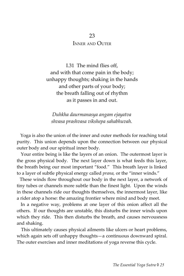### 23 INNER AND OUTER

I.31 The mind flies off, and with that come pain in the body; unhappy thoughts; shaking in the hands and other parts of your body; the breath falling out of rhythm as it passes in and out.

*Duhkha daurmanasya angam ejayatva shvasa prashvasa vikshepa sahabhuvah.*

 Yoga is also the union of the inner and outer methods for reaching total purity. This union depends upon the connection between our physical outer body and our spiritual inner body.

Your entire being is like the layers of an onion. The outermost layer is the gross physical body. The next layer down is what feeds this layer, the breath being our most important "food." This breath layer is linked to a layer of subtle physical energy called *prana,* or the "inner winds."

These winds flow throughout our body in the next layer, a network of tiny tubes or channels more subtle than the finest light. Upon the winds in these channels ride our thoughts themselves, the innermost layer, like a rider atop a horse: the amazing frontier where mind and body meet.

In a negative way, problems at one layer of this onion affect all the others. If our thoughts are unstable, this disturbs the inner winds upon which they ride. This then disturbs the breath, and causes nervousness and shaking.

This ultimately causes physical ailments like ulcers or heart problems, which again sets off unhappy thoughts—a continuous downward spiral. The outer exercises and inner meditations of yoga reverse this cycle.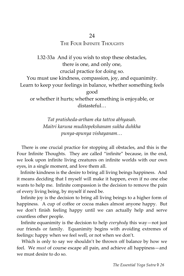#### 24

#### THE FOUR INFINITE THOUGHTS

I.32-33a And if you wish to stop these obstacles, there is one, and only one, crucial practice for doing so. You must use kindness, compassion, joy, and equanimity. Learn to keep your feelings in balance, whether something feels good or whether it hurts; whether something is enjoyable, or distasteful…

> *Tat pratisheda-artham eka tattva abhyasah. Maitri karuna muditopekshanam sukha duhkha punya-apunya vishayanam…*

There is one crucial practice for stopping all obstacles, and this is the Four Infinite Thoughts. They are called "infinite" because, in the end, we look upon infinite living creatures on infinite worlds with our own eyes, in a single moment, and love them all.

 Infinite kindness is the desire to bring all living beings happiness. And it means deciding that I myself will make it happen, even if no one else wants to help me. Infinite compassion is the decision to remove the pain of every living being, by myself if need be.

Infinite joy is the decision to bring all living beings to a higher form of happiness. A cup of coffee or cocoa makes almost anyone happy. But we don't finish feeling happy until we can actually help and serve countless other people.

Infinite equanimity is the decision to help *everybody* this way—not just our friends or family. Equanimity begins with avoiding extremes of feelings: happy when we feel well, or not when we don't.

Which is only to say we shouldn't be thrown off balance by how we feel. We *must* of course escape all pain, and achieve all happiness—and we must desire to do so.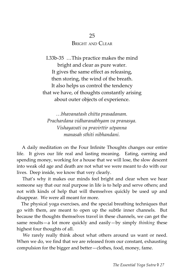#### 25 BRIGHT AND CLEAR

I.33b-35 …This practice makes the mind bright and clear as pure water. It gives the same effect as releasing, then storing, the wind of the breath. It also helps us control the tendency that we have, of thoughts constantly arising about outer objects of experience.

*…bhavanatash chitta prasadanam. Prachardana vidharanabhyam va pranasya. Vishayavati va pravirttir utpanna manasah sthiti nibhandani.*

A daily meditation on the Four Infinite Thoughts changes our entire life. It gives our life real and lasting meaning. Eating, earning and spending money, working for a house that we will lose, the slow descent into weak old age and death are not what we were meant to do with our lives. Deep inside, we know that very clearly.

That's why it makes our minds feel bright and clear when we hear someone say that our real purpose in life is to help and serve others; and not with kinds of help that will themselves quickly be used up and disappear. We were all meant for more.

The physical yoga exercises, and the special breathing techniques that go with them, are meant to open up the subtle inner channels. But because the thoughts themselves travel in these channels, we can get the same results—a lot more quickly and easily—by simply *thinking* these highest four thoughts of all.

We rarely really think about what others around us want or need. When we do, we find that we are released from our constant, exhausting compulsion for the bigger and better—clothes, food, money, fame.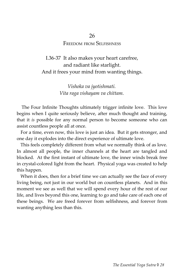26 FREEDOM FROM SELFISHNESS

# I.36-37 It also makes your heart carefree, and radiant like starlight. And it frees your mind from wanting things.

*Vishoka va jyotishmati. Vita raga vishayam va chittam.*

The Four Infinite Thoughts ultimately trigger infinite love. This love begins when I quite seriously believe, after much thought and training, that it *is* possible for any normal person to become someone who can assist countless people all at once.

For a time, even now, this love is just an idea. But it gets stronger, and one day it explodes into the direct experience of ultimate love.

This feels completely different from what we normally think of as love. In almost all people, the inner channels at the heart are tangled and blocked. At the first instant of ultimate love, the inner winds break free in crystal-colored light from the heart. Physical yoga was created to help this happen.

When it does, then for a brief time we can actually see the face of every living being, not just in our world but on countless planets. And in this moment we see as well that we will spend every hour of the rest of our life, and lives beyond this one, learning to go and take care of each one of these beings. We are freed forever from selfishness, and forever from wanting anything less than this.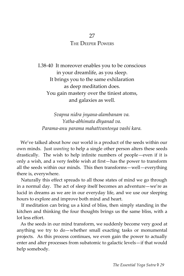#### 27

#### THE DEEPER POWERS

I.38-40 It moreover enables you to be conscious in your dreamlife, as you sleep. It brings you to the same exhilaration as deep meditation does. You gain mastery over the tiniest atoms, and galaxies as well.

*Svapna nidra jnyana-alambanam va. Yatha-abhimata dhyanad va. Parama-anu parama mahattvantosya vashi kara.*

We've talked about how our world is a product of the seeds within our own minds. Just *wanting* to help a single other person alters these seeds drastically. The wish to help infinite numbers of people—even if it is only a wish, and a very feeble wish at first—has the power to transform all the seeds within our minds. This then transforms—well—everything there is, everywhere.

Naturally this effect spreads to all those states of mind we go through in a normal day. The act of sleep itself becomes an adventure—we're as lucid in dreams as we are in our everyday life, and we use our sleeping hours to explore and improve both mind and heart.

If meditation can bring us a kind of bliss, then simply standing in the kitchen and thinking the four thoughts brings us the same bliss, with a lot less effort.

As the seeds in our mind transform, we suddenly become very good at anything we try to do—whether small exacting tasks or monumental projects. As this process continues, we even gain the power to actually enter and alter processes from subatomic to galactic levels—if that would help somebody.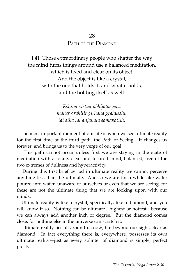#### 28 PATH OF THE DIAMOND

I.41 Those extraordinary people who shatter the way the mind turns things around use a balanced meditation, which is fixed and clear on its object. And the object is like a crystal, with the one that holds it, and what it holds, and the holding itself as well.

> *Kshina virtter abhijatasyeva maner grahitir girhana grahyeshu tat stha tat anjanata samapattih.*

The most important moment of our life is when we see ultimate reality for the first time at the third path, the Path of Seeing. It changes us forever, and brings us to the very verge of our goal.

This path cannot occur unless first we are staying in the state of meditation with a totally clear and focused mind; balanced, free of the two extremes of dullness and hyperactivity.

During this first brief period in ultimate reality we cannot perceive anything less than the ultimate. And so we are for a while like water poured into water, unaware of ourselves or even that we are seeing, for these are not the ultimate thing that we are looking upon with our minds.

Ultimate reality is like a crystal; specifically, like a diamond, and you will know it so. Nothing can be ultimate—highest or hottest—because we can always add another inch or degree. But the diamond comes close, for nothing else in the universe can scratch it.

Ultimate reality lies all around us now, but beyond our sight, clear as diamond. In fact everything there is, everywhere, possesses its own ultimate reality—just as every splinter of diamond is simple, perfect purity.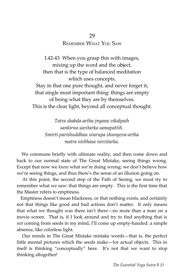## 29 REMEMBER WHAT YOU SAW

I.42-43 When you grasp this with images, mixing up the word and the object, then that is the type of balanced meditation which uses concepts. Stay in that one pure thought, and never forget it; that single most important thing: things are empty of being what they are by themselves. This is the clear light, beyond all conceptual thought.

> *Tatra shabda-artha jnyana vikalpaih sankirna savitarka samapattih. Smirti parishuddhau svarupa shunyeva-artha matra nirbhasa nirvitarka.*

We commune briefly with ultimate reality, and then come down and back to our normal state of The Great Mistake, seeing things wrong. Except that now we *know* what we're doing wrong: we don't believe how we're seeing things, and thus there's the sense of an illusion going on.

At this point, the second step of the Path of Seeing, we must try to remember what we saw: that things are empty. This is the first time that the Master refers to emptiness.

Emptiness doesn't mean blackness, or that nothing exists, and certainly not that things like good and bad actions don't matter. It only means that what we thought was there isn't there—no more than a man on a movie screen. That is, if I look around and try to find anything that is *not* coming from seeds in my mind, I'll come up empty-handed: a simple absence, like colorless light.

Our minds in The Great Mistake mistake words—that is, the perfect little mental pictures which the seeds make—for actual objects. This in itself is thinking "conceptually" here. It's not that we want to stop thinking altogether!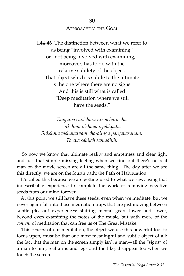30 APPROACHING THE GOAL

I.44-46 The distinction between what we refer to as being "involved with examining" or "not being involved with examining," moreover, has to do with the relative subtlety of the object. That object which is subtle to the ultimate is the one where there are no signs. And this is still what is called "Deep meditation where we still have the seeds."

*Etayaiva savichara nirvichara cha sukshma vishaya vyakhyata. Sukshma vishayatvam cha-alinga paryavasanam. Ta eva sabijah samadhih.*

So now we know that ultimate reality and emptiness and clear light and just that simple missing feeling when we find out there's no real man on the movie screen are all the same thing. The day after we see this directly, we are on the fourth path: the Path of Habituation.

It's called this because we are getting used to what we saw, using that indescribable experience to complete the work of removing negative seeds from our mind forever.

At this point we still have these seeds, even when we meditate, but we never again fall into those meditation traps that are just moving between subtle pleasant experiences: shifting mental gears lower and lower, beyond even examining the notes of the music, but with more of the *content* of meditation that can free us of The Great Mistake.

This *content* of our meditation, the object we use this powerful tool to focus upon, must be that one most meaningful and subtle object of all: the fact that the man on the screen simply isn't a man—all the "signs" of a man to him, real arms and legs and the like, disappear too when we touch the screen.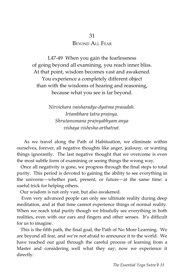## 31 BEYOND ALL FEAR

I.47-49 When you gain the fearlessness of going beyond all examining, you reach inner bliss. At that point, wisdom becomes vast and awakened. You experience a completely different object than with the wisdoms of hearing and reasoning, because what you see is far beyond.

> *Nirvichara vaisharadye-dyatma prasadah. Irtambhara tatra prajnya. Shrutanumana prajnyabhyam anya vishaya vishesha-arthatvat.*

As we travel along the Path of Habituation, we eliminate within ourselves, forever, all negative thoughts like anger, jealousy, or wanting things ignorantly. The last negative thought that we overcome is even the most subtle form of examining or seeing things the wrong way.

Once all negativity is gone, we progress through the final steps to total purity. This period is devoted to gaining the ability to see everything in the universe—whether past, present, or future—at the same time: a useful trick for helping others.

Our wisdom is not only vast, but also awakened.

Even very advanced people can only see ultimate reality during deep meditation, and at that time cannot experience things of normal reality. When we reach total purity though we blissfully see everything in both realities, even with our ears and fingers and other senses. It's difficult for us to imagine.

This is the fifth path, the final goal, the Path of No More Learning. We are beyond all fear, and we're not afraid to announce it to the world. We have reached our goal through the careful process of learning from a Master and considering well what they say; now we experience it directly.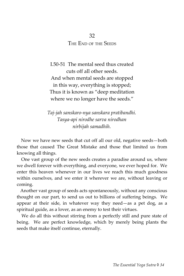### 32 THE END OF THE SEEDS

I.50-51 The mental seed thus created cuts off all other seeds. And when mental seeds are stopped in this way, everything is stopped; Thus it is known as "deep meditation where we no longer have the seeds."

*Taj-jah sanskaro-nya sanskara pratibandhi. Tasya-api nirodhe sarva nirodhan nirbijah samadhih.*

Now we have new seeds that cut off all our old, negative seeds—both those that caused The Great Mistake and those that limited us from knowing all things.

One vast group of the new seeds creates a paradise around us, where we dwell forever with everything, and everyone, we ever hoped for. We enter this heaven whenever in our lives we reach this much goodness within ourselves, and we enter it wherever we are, without leaving or coming.

 Another vast group of seeds acts spontaneously, without any conscious thought on our part, to send us out to billions of suffering beings. We appear at their side, in whatever way they need—as a pet dog, as a spiritual guide, as a lover, as an enemy to test their virtues.

We do all this without stirring from a perfectly still and pure state of being. We are perfect knowledge, which by merely being plants the seeds that make itself continue, eternally.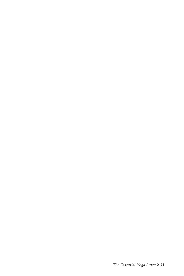*The Essential Yoga Sutra ◊ 35*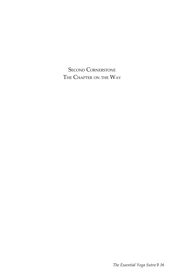SECOND CORNERSTONE THE CHAPTER ON THE WAY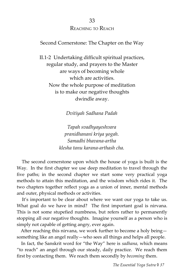#### 33 REACHING TO REACH

#### Second Cornerstone: The Chapter on the Way

II.1-2 Undertaking difficult spiritual practices, regular study, and prayers to the Master are ways of becoming whole which are activities. Now the whole purpose of meditation is to make our negative thoughts dwindle away.

*Dvitiyah Sadhana Padah*

*Tapah svadhyayeshvara pranidhanani kriya yogah. Samadhi bhavana-artha klesha tanu karana-arthash cha.*

The second cornerstone upon which the house of yoga is built is the Way. In the first chapter we use deep meditation to travel through the five paths; in the second chapter we start some very practical yoga methods to attain this meditation, and the wisdom which rides it. The two chapters together reflect yoga as a union of inner, mental methods and outer, physical methods or activities.

It's important to be clear about where we want our yoga to take us. What goal do we have in mind? The first important goal is nirvana. This is not some stupefied numbness, but refers rather to permanently stopping all our negative thoughts. Imagine yourself as a person who is simply not capable of getting angry, ever again.

After reaching this nirvana, we work further to become a holy being something like an angel really—who sees all things and helps all people.

In fact, the Sanskrit word for "the Way" here is *sadhana,* which means "to reach" an angel through our steady, daily practice. We reach them first by contacting them. We reach them secondly by *becoming* them.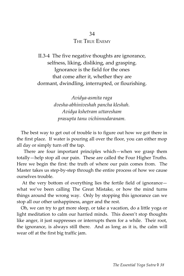#### 34 THE TRUE ENEMY

II.3-4 The five negative thoughts are ignorance, selfness, liking, disliking, and grasping. Ignorance is the field for the ones that come after it, whether they are dormant, dwindling, interrupted, or flourishing.

> *Avidya-asmita raga dvesha-abhiniveshah pancha kleshah. Avidya kshetram uttaresham prasupta tanu vichinnodaranam.*

The best way to get out of trouble is to figure out how we got there in the first place. If water is pouring all over the floor, you can either mop all day or simply turn off the tap.

There are four important principles which—when we grasp them totally—help stop all our pain. These are called the Four Higher Truths. Here we begin the first: the truth of where our pain comes from. The Master takes us step-by-step through the entire process of how we cause ourselves trouble.

At the very bottom of everything lies the fertile field of ignorance what we've been calling The Great Mistake, or how the mind turns things around the wrong way. Only by stopping this ignorance can we stop all our other unhappiness, anger and the rest.

Oh, we can try to get more sleep, or take a vacation, do a little yoga or light meditation to calm our harried minds. This doesn't stop thoughts like anger, it just suppresses or interrupts them for a while. Their root, the ignorance, is always still there. And as long as it is, the calm will wear off at the first big traffic jam.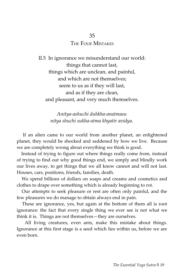## 35 THE FOUR MISTAKES

II.5 In ignorance we misunderstand our world: things that cannot last, things which are unclean, and painful, and which are not themselves; seem to us as if they will last, and as if they are clean, and pleasant, and very much themselves.

> *Anitya-ashuchi duhkha-anatmasu nitya shuchi sukha-atma khyatir avidya.*

If an alien came to our world from another planet, an enlightened planet, they would be shocked and saddened by how we live. Because we are completely wrong about everything we think is good.

Instead of trying to figure out where things really come from, instead of trying to find out why good things end, we simply and blindly work our lives away, to get things that we all know cannot and will not last. Houses, cars, positions, friends, families, death.

We spend billions of dollars on soaps and creams and cosmetics and clothes to drape over something which is already beginning to rot.

Our attempts to seek pleasure or rest are often only painful, and the few pleasures we do manage to obtain always end in pain.

These are ignorance, yes, but again at the bottom of them all is root ignorance: the fact that every single thing we ever see is not what we think it is. Things are not themselves—they are ourselves.

All living creatures, even ants, make this mistake about things. Ignorance at this first stage is a seed which lies within us, before we are even born.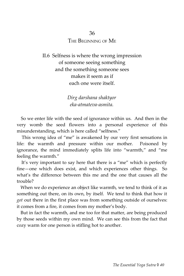## 36 THE BEGINNING OF M<sup>E</sup>

II.6 Selfness is where the wrong impression of someone seeing something and the something someone sees makes it seem as if each one were itself.

> *Dirg darshana shaktyor eka-atmateva-asmita.*

So we enter life with the seed of ignorance within us. And then in the very womb the seed flowers into a personal experience of this misunderstanding, which is here called "selfness."

This wrong idea of "me" is awakened by our very first sensations in life: the warmth and pressure within our mother. Poisoned by ignorance, the mind immediately splits life into "warmth," and "me feeling the warmth."

It's very important to say here that there is a "me" which is perfectly fine—one which does exist, and which experiences other things. So what's the difference between this me and the one that causes all the trouble?

When we do experience an object like warmth, we tend to think of it as something out there, on its own, by itself. We tend to think that how it *got* out there in the first place was from something outside of ourselves: it comes from a fire, it comes from my mother's body.

But in fact the warmth, and me too for that matter, are being produced by those seeds within my own mind. We can see this from the fact that cozy warm for one person is stifling hot to another.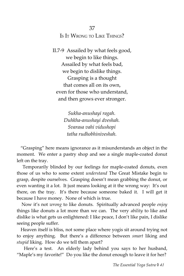## 37 IS IT WRONG TO LIKE THINGS?

II.7-9 Assailed by what feels good, we begin to like things. Assailed by what feels bad, we begin to dislike things. Grasping is a thought that comes all on its own, even for those who understand, and then grows ever stronger.

> *Sukha-anushayi ragah. Duhkha-anushayi dveshah. Svarasa vahi vidushopi tatha rudhobhiniveshah.*

"Grasping" here means ignorance as it misunderstands an object in the moment. We enter a pastry shop and see a single maple-coated donut left on the tray.

Temporarily blinded by our feelings for maple-coated donuts, even those of us who to some extent *understand* The Great Mistake begin to grasp, despite ourselves. Grasping doesn't mean grabbing the donut, or even wanting it a lot. It just means looking at it the wrong way: It's out there, on the tray. It's there because someone baked it. I will get it because I have money. None of which is true.

Now it's not *wrong* to like donuts. Spiritually advanced people *enjoy* things like donuts a lot more than we can. The very *ability* to like and dislike is what gets us enlightened: I like peace, I don't like pain, I dislike seeing people suffer.

Heaven itself is bliss, not some place where yogis sit around trying not to enjoy anything. But there's a difference between *smart* liking and *stupid* liking. How do we tell them apart?

Here's a test. An elderly lady behind you says to her husband, "Maple's my favorite!" Do you like the donut enough to leave it for her?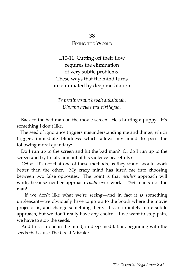# 38 FIXING THE WORLD

I.10-11 Cutting off their flow requires the elimination of very subtle problems. These ways that the mind turns are eliminated by deep meditation.

*Te pratiprasava heyah sukshmah. Dhyana heyas tad virttayah.*

Back to the bad man on the movie screen. He's hurting a puppy. It's something I don't like.

The seed of ignorance triggers misunderstanding me and things, which triggers immediate blindness which allows my mind to pose the following moral quandary:

Do I run up to the screen and hit the bad man? Or do I run up to the screen and try to talk him out of his violence peacefully?

*Get it.* It's not that one of these methods, as they stand, would work better than the other. My crazy mind has lured me into choosing between two false opposites. The point is that *neither* approach will work, because neither approach *could* ever work. *That* man's not the man!

If we don't like what we're seeing—and in fact it *is* something unpleasant—we obviously have to go up to the booth where the movie projector is, and change something there. It's an infinitely more subtle approach, but we don't really have any choice. If we want to stop pain, we have to stop the seeds.

And this is done in the mind, in deep meditation, beginning with the seeds that cause The Great Mistake.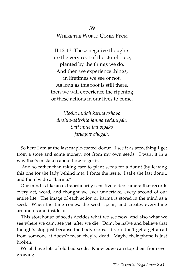## 39 WHERE THE WORLD COMES FROM

II.12-13 These negative thoughts are the very root of the storehouse, planted by the things we do. And then we experience things, in lifetimes we see or not. As long as this root is still there, then we will experience the ripening of these actions in our lives to come.

*Klesha mulah karma ashayo dirshta-adirshta janma vedaniyah. Sati mule tad vipako jatyayur bhogah.*

So here I am at the last maple-coated donut. I see it as something I get from a store and some money, not from my own seeds. I want it in a way that's mistaken about how to get it.

And so rather than taking care to plant seeds for a donut (by leaving this one for the lady behind me), I force the issue. I take the last donut, and thereby do a "karma."

Our mind is like an extraordinarily sensitive video camera that records every act, word, and thought we ever undertake, every second of our entire life. The image of each action or karma is stored in the mind as a seed. When the time comes, the seed ripens, and creates everything around us and inside us.

This storehouse of seeds decides what we see now, and also what we see where we can't see yet: after we die. Don't be naïve and believe that thoughts stop just because the body stops. If you don't get a get a call from someone, it doesn't mean they're dead. Maybe their phone is just broken.

We all have lots of old bad seeds. Knowledge can stop them from ever growing.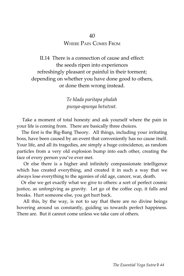# 40 WHERE PAIN COMES FROM

II.14 There is a connection of cause and effect: the seeds ripen into experiences refreshingly pleasant or painful in their torment; depending on whether you have done good to others, or done them wrong instead.

> *Te hlada paritapa phalah punya-apunya hetutvat.*

Take a moment of total honesty and ask yourself where the pain in your life is coming from. There are basically three choices.

The first is the Big-Bang Theory. All things, including your irritating boss, have been caused by an event that conveniently has no cause itself. Your life, and all its tragedies, are simply a huge coincidence, as random particles from a very old explosion bump into each other, creating the face of every person you've ever met.

Or else there is a higher and infinitely compassionate intelligence which has created everything, and created it in such a way that we always lose everything to the agonies of old age, cancer, war, death.

Or else we get exactly what we give to others: a sort of perfect cosmic justice, as unforgiving as gravity. Let go of the coffee cup, it falls and breaks. Hurt someone else, you get hurt back.

All this, by the way, is not to say that there are no divine beings hovering around us constantly, guiding us towards perfect happiness. There are. But it cannot come unless we take care of others.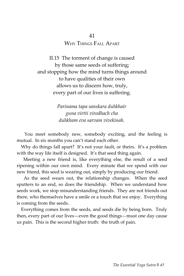# 41 WHY THINGS FALL APART

II.15 The torment of change is caused by those same seeds of suffering; and stopping how the mind turns things around to have qualities of their own allows us to discern how, truly, every part of our lives is suffering.

> *Parinama tapa sanskara duhkhair guna virtti virodhach cha duhkham eva sarvam vivekinah.*

You meet somebody new, somebody exciting, and the feeling is mutual. In six months you can't stand each other.

Why do things fall apart? It's not your fault, or theirs. It's a problem with the way life itself is designed. It's that seed thing again.

Meeting a new friend is, like everything else, the result of a seed ripening within our own mind. Every minute that we spend with our new friend, this seed is wearing out, simply by producing our friend.

As the seed wears out, the relationship changes. When the seed sputters to an end, so does the friendship. When we understand how seeds work, we stop misunderstanding friends. They are not friends out there, who themselves have a smile or a touch that we enjoy. Everything is coming from the seeds.

Everything comes from the seeds, and seeds die by being born. Truly then, every part of our lives—even the good things—must one day cause us pain. This is the second higher truth: the truth of pain.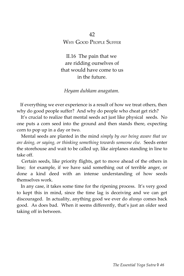# 42 WHY GOOD PEOPLE SUFFER

II.16 The pain that we are ridding ourselves of that would have come to us in the future.

*Heyam duhkam anagatam.*

 If everything we ever experience is a result of how we treat others, then why do good people suffer? And why do people who cheat get rich?

It's crucial to realize that mental seeds act just like physical seeds. No one puts a corn seed into the ground and then stands there, expecting corn to pop up in a day or two.

Mental seeds are planted in the mind *simply by our being aware that we are doing, or saying, or thinking something towards someone else.* Seeds enter the storehouse and wait to be called up, like airplanes standing in line to take off.

Certain seeds, like priority flights, get to move ahead of the others in line; for example, if we have said something out of terrible anger, or done a kind deed with an intense understanding of how seeds themselves work.

In any case, it takes some time for the ripening process. It's very good to kept this in mind, since the time lag is deceiving and we can get discouraged. In actuality, anything good we ever do *always* comes back good. As does bad. When it seems differently, that's just an older seed taking off in between.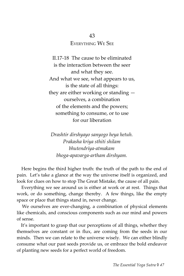## 43 EVERYTHING WE SEE

II.17-18. The cause to be eliminated is the interaction between the seer and what they see. And what we see, what appears to us, is the state of all things: they are either working or standing ourselves, a combination of the elements and the powers; something to consume, or to use for our liberation

*Drashtir dirshyayo sanyogo heya hetuh. Prakasha kriya sthiti shilam bhutendriya-atmakam bhoga-apavarga-artham dirshyam.*

Here begins the third higher truth: the truth of the path to the end of pain. Let's take a glance at the way the universe itself is organized, and look for clues on how to stop The Great Mistake, the cause of all pain.

Everything we see around us is either at work or at rest. Things that work, or do something, change thereby. A few things, like the empty space or place that things stand in, never change.

We ourselves are ever-changing, a combination of physical elements like chemicals, and conscious components such as our mind and powers of sense.

It's important to grasp that our perceptions of all things, whether they themselves are constant or in flux, are coming from the seeds in our minds. Then we can relate to the universe wisely. We can either blindly consume what our past seeds provide us, or embrace the bold endeavor of planting new seeds for a perfect world of freedom.

*The Essential Yoga Sutra ◊ 47*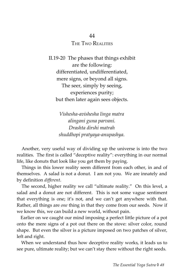## 44 THE TWO REALITIES

II.19-20 The phases that things exhibit are the following: differentiated, undifferentiated, mere signs, or beyond all signs. The seer, simply by seeing, experiences purity; but then later again sees objects.

> *Vishesha-avishesha linga matra alingani guna parvani. Drashta dirshi matrah shuddhopi pratyaya-anupashya.*

Another, very useful way of dividing up the universe is into the two realities. The first is called "deceptive reality": everything in our normal life, like donuts that look like you get them by paying.

Things in this lower reality seem different from each other, in and of themselves. A salad is not a donut. I am not you. We are innately and by definition *different*.

The second, higher reality we call "ultimate reality." On this level, a salad and a donut are not different. This is not some vague sentiment that everything is one; it's not, and we can't get anywhere with that. Rather, all things are *one* thing in that they come from our seeds. Now if we know this, we can build a new world, without pain.

Earlier on we caught our mind imposing a perfect little picture of a pot onto the mere signs of a pot out there on the stove: silver color, round shape. But even the silver is a picture imposed on two patches of silver, left and right.

When we understand thus how deceptive reality works, it leads us to see pure, ultimate reality; but we can't stay there without the right seeds.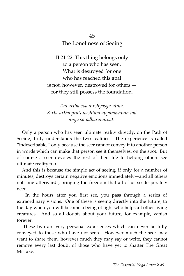# 45 The Loneliness of Seeing

II.21-22 This thing belongs only to a person who has seen. What is destroyed for one who has reached this goal is not, however, destroyed for others for they still possess the foundation.

*Tad artha eva dirshyasya-atma. Kirta-artha prati nashtam apyanashtam tad anya sa-adharanatvat.*

Only a person who has seen ultimate reality directly, on the Path of Seeing, truly understands the two realities. The experience is called "indescribable," only because the seer cannot convey it to another person in words which can make that person see it themselves, on the spot. But of course a seer devotes the rest of their life to helping others see ultimate reality too.

And this is because the simple act of seeing, if only for a number of minutes, destroys certain negative emotions immediately—and all others not long afterwards, bringing the freedom that all of us so desperately need.

In the hours after you first see, you pass through a series of extraordinary visions. One of these is seeing directly into the future, to the day when you will become a being of light who helps all other living creatures. And so all doubts about your future, for example, vanish forever.

These two are very personal experiences which can never be fully conveyed to those who have not seen. However much the seer may want to share them, however much they may say or write, they cannot remove every last doubt of those who have yet to shatter The Great Mistake.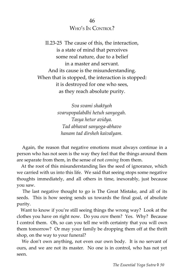### 46 WHO'S IN CONTROL?

II.23-25 The cause of this, the interaction, is a state of mind that perceives some real nature, due to a belief in a master and servant. And its cause is the misunderstanding. When that is stopped, the interaction is stopped: it is destroyed for one who sees, as they reach absolute purity.

> *Sva svami shaktyoh svarupopalabdhi hetuh sanyogah. Tasya hetur avidya. Tad abhavat sanyoga-abhavo hanam tad dirsheh kaivalyam.*

Again, the reason that negative emotions must always continue in a person who has not seen is the way they feel that the things around them are separate from them, in the sense of not *coming* from them.

At the root of this misunderstanding lies the seed of ignorance, which we carried with us into this life. We said that seeing stops some negative thoughts immediately, and all others in time, inexorably, just because you saw.

The last negative thought to go is The Great Mistake, and all of its seeds. This is how seeing sends us towards the final goal, of absolute purity.

Want to know if you're still seeing things the wrong way? Look at the clothes you have on right now. Do you *own* them? Yes. Why? Because I control them. Oh, so can you tell me with certainty that you will own them tomorrow? Or may your family be dropping them off at the thrift shop, on the way to your funeral?

We don't own anything, not even our own body. It is no servant of ours, and we are not its master. No one is in control, who has not yet seen.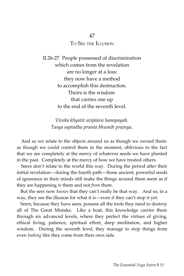47

#### TO SEE THE ILLUSION

II.26-27 People possessed of discrimination which comes from the revelation are no longer at a loss: they now have a method to accomplish this destruction. Theirs is the wisdom that carries one up to the end of the seventh level.

*Viveka khyatir aviplava hanopayah. Tasya saptadha pranta bhumih prajnya.*

And so we relate to the objects around us as though we owned them: as though we could control them in the moment, oblivious to the fact that we are completely at the mercy of whatever seeds we have planted in the past. Completely at the mercy of how we have treated others.

Seers don't relate to the world this way. During the period after their initial revelation—during the fourth path—those ancient, powerful seeds of ignorance in their minds still make the things around them seem as if they are happening *to* them and not *from* them.

But the seer now *knows* that they can't really be that way. And so, in a way, they see the illusion for what it is—even if they can't stop it yet.

 Seers, because they have seen, possess all the tools they need to destroy all of The Great Mistake. Like a boat, this knowledge carries them through six advanced levels, where they perfect the virtues of giving, ethical living, patience, spiritual effort, deep meditation, and higher wisdom. During the seventh level, they manage to stop things from even *looking* like they come from their own side.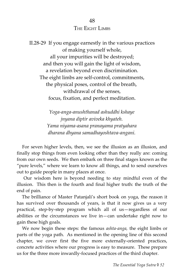## 48 THE EIGHT LIMBS

II.28-29 If you engage earnestly in the various practices of making yourself whole, all your impurities will be destroyed; and then you will gain the light of wisdom, a revelation beyond even discrimination. The eight limbs are self-control, commitments, the physical poses, control of the breath, withdrawal of the senses, focus, fixation, and perfect meditation.

> *Yoga-anga-anushthanad ashuddhi kshaye jnyana diptir aviveka khyateh. Yama niyama-asana pranayama pratyahara dharana dhyana samadhayoshtava-angani.*

For seven higher levels, then, we see the illusion as an illusion, and finally stop things from even looking other than they really are: coming from our own seeds. We then embark on three final stages known as the "pure levels," where we learn to know all things, and to send ourselves out to guide people in many places at once.

Our wisdom here is beyond needing to stay mindful even of the illusion. This then is the fourth and final higher truth: the truth of the end of pain.

The brilliance of Master Patanjali's short book on yoga, the reason it has survived over thousands of years, is that it now gives us a very practical, step-by-step program which all of us—regardless of our abilities or the circumstances we live in—can undertake right now to gain these high goals.

We now begin these steps: the famous *ashta-anga,* the eight limbs or parts of the yoga path. As mentioned in the opening line of this second chapter, we cover first the five more externally-oriented practices, concrete activities where our progress is easy to measure. These prepare us for the three more inwardly-focused practices of the third chapter.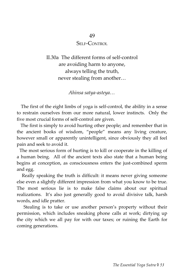# 49 SELF-CONTROL

II.30a The different forms of self-control are avoiding harm to anyone, always telling the truth, never stealing from another…

*Ahinsa satya-asteya…*

The first of the eight limbs of yoga is self-control, the ability in a sense to restrain ourselves from our more natural, lower instincts. Only the five most crucial forms of self-control are given.

The first is simply to avoid hurting other people; and remember that in the ancient books of wisdom, "people" means any living creature, however small or apparently unintelligent, since obviously they all feel pain and seek to avoid it.

The most serious form of hurting is to kill or cooperate in the killing of a human being. All of the ancient texts also state that a human being begins at conception, as consciousness enters the just-combined sperm and egg.

Really speaking the truth is difficult: it means never giving someone else even a slightly different impression from what you know to be true. The most serious lie is to make false claims about our spiritual realizations. It's also just generally good to avoid divisive talk, harsh words, and idle pratter.

Stealing is to take or use another person's property without their permission, which includes sneaking phone calls at work; dirtying up the city which we all pay for with our taxes; or ruining the Earth for coming generations.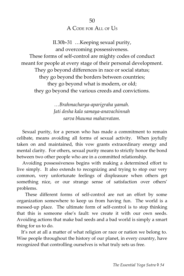#### 50 A CODE FOR ALL OF US

II.30b-31 …Keeping sexual purity, and overcoming possessiveness. These forms of self-control are mighty codes of conduct meant for people at every stage of their personal development. They go beyond differences in race or social status; they go beyond the borders between countries; they go beyond what is modern, or old; they go beyond the various creeds and convictions.

> *…Brahmacharya-aparigraha yamah. Jati desha kala samaya-anavachinnah sarva bhauma mahavratam.*

Sexual purity, for a person who has made a commitment to remain celibate, means avoiding all forms of sexual activity. When joyfully taken on and maintained, this vow grants extraordinary energy and mental clarity. For others, sexual purity means to strictly honor the bond between two other people who are in a committed relationship.

Avoiding possessiveness begins with making a determined effort to live simply. It also extends to recognizing and trying to stop our very common, very unfortunate feelings of displeasure when others get something nice, or our strange sense of satisfaction over others' problems.

These different forms of self-control are not an effort by some organization somewhere to keep us from having fun. The world is a messed-up place. The ultimate form of self-control is to stop thinking that this is someone else's fault: we create it with our own seeds. Avoiding actions that make bad seeds and a bad world is simply a smart thing for us to do.

It's not at all a matter of what religion or race or nation we belong to. Wise people throughout the history of our planet, in every country, have recognized that controlling ourselves is what truly sets us free.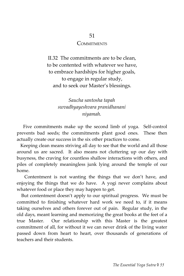# 51

#### **COMMITMENTS**

II.32 The commitments are to be clean, to be contented with whatever we have, to embrace hardships for higher goals, to engage in regular study, and to seek our Master's blessings.

> *Saucha santosha tapah swvadhyayeshvara pranidhanani niyamah.*

Five commitments make up the second limb of yoga. Self-control prevents bad seeds; the commitments plant good ones. These then actually create our success in the six other practices to come.

 Keeping clean means striving all day to see that the world and all those around us are sacred. It also means not cluttering up our day with busyness, the craving for countless shallow interactions with others, and piles of completely meaningless junk lying around the temple of our home.

Contentment is not wanting the things that we don't have, and enjoying the things that we do have. A yogi never complains about whatever food or place they may happen to get.

But contentment doesn't apply to our spiritual progress. We must be committed to finishing whatever hard work we need to, if it means taking ourselves and others forever out of pain. Regular study, in the old days, meant learning and memorizing the great books at the feet of a true Master. Our relationship with this Master is the greatest commitment of all, for without it we can never drink of the living water passed down from heart to heart, over thousands of generations of teachers and their students.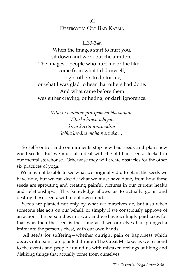52 DESTROYING OLD BAD KARMA

#### II.33-34a

When the images start to hurt you, sit down and work out the antidote. The images—people who hurt me or the like come from what I did myself; or got others to do for me; or what I was glad to hear that others had done. And what came before them was either craving, or hating, or dark ignorance.

> *Vitarka badhane pratipaksha bhavanam. Vitarka hinsa-adayah kirta karita-anumodita lobha krodha moha purvaka…*

So self-control and commitments stop new bad seeds and plant new good seeds. But we must also deal with the old bad seeds, stocked in our mental storehouse. Otherwise they will create obstacles for the other six practices of yoga.

We may not be able to see what we originally did to plant the seeds we have now, but we can decide what we must have done, from how these seeds are sprouting and creating painful pictures in our current health and relationships. This knowledge allows us to actually go in and destroy those seeds, within out own mind.

Seeds are planted not only by what we ourselves do, but also when someone else acts on our behalf; or simply if we consciously approve of an action. If a person dies in a war, and we have willingly paid taxes for that war, then the seed is the same as if we ourselves had plunged a knife into the person's chest, with our own hands.

All seeds for suffering—whether outright pain or happiness which decays into pain—are planted through The Great Mistake, as we respond to the events and people around us with mistaken feelings of liking and disliking things that actually come from ourselves.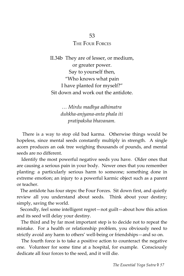### 53 THE FOUR FORCES

II.34b They are of lesser, or medium, or greater power. Say to yourself then, "Who knows what pain I have planted for myself?" Sit down and work out the antidote.

> *… Mirdu madhya adhimatra duhkha-anjyana-anta phala iti pratipaksha bhavanam.*

There is a way to stop old bad karma. Otherwise things would be hopeless, since mental seeds constantly multiply in strength. A single acorn produces an oak tree weighing thousands of pounds, and mental seeds are no different.

Identify the most powerful negative seeds you have. Older ones that are causing a serious pain in your body. Newer ones that you remember planting: a particularly serious harm to someone; something done in extreme emotion; an injury to a powerful karmic object such as a parent or teacher.

 The antidote has four steps: the Four Forces. Sit down first, and quietly review all you understand about seeds. Think about your destiny; simply, saving the world.

 Secondly, feel some intelligent regret—not guilt—about how this action and its seed will delay your destiny.

The third and by far most important step is to decide not to repeat the mistake. For a health or relationship problem, you obviously need to strictly avoid any harm to others' well-being or friendships—and so on.

The fourth force is to take a positive action to counteract the negative one. Volunteer for some time at a hospital, for example. Consciously dedicate all four forces to the seed, and it will die.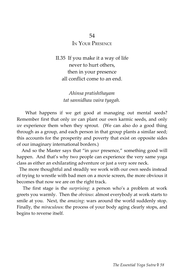#### 54

#### IN YOUR PRESENCE

II.35 If you make it a way of life never to hurt others, then in your presence all conflict come to an end.

> *Ahinsa pratishthayam tat sannidhau vaira tyagah.*

What happens if we get good at managing out mental seeds? Remember first that only *we* can plant our own karmic seeds, and only *we* experience them when they sprout. (We can also do a good thing through as a group, and each person in that group plants a similar seed; this accounts for the prosperity and poverty that exist on opposite sides of our imaginary international borders.)

And so the Master says that "in *your* presence," something good will happen. And that's why two people can experience the very same yoga class as either an exhilarating adventure or just a very sore neck.

The more thoughtful and steadily we work with our own seeds instead of trying to wrestle with bad men on a movie screen, the more obvious it becomes that now we are on the right track.

The first stage is the *surprising*: a person who's a problem at work greets you warmly. Then the *obvious*: almost everybody at work starts to smile at you. Next, the *amazing*: wars around the world suddenly stop. Finally, the *miraculou*s: the process of your body aging clearly stops, and begins to reverse itself.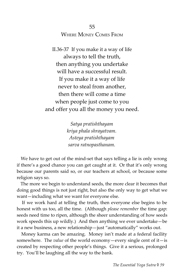55 WHERE MONEY COMES FROM

II.36-37 If you make it a way of life always to tell the truth, then anything you undertake will have a successful result. If you make it a way of life never to steal from another, then there will come a time when people just come to you and offer you all the money you need.

> *Satya pratishthayam kriya phala shrayatvam. Asteya pratishthayam sarva ratnopasthanam.*

We have to get out of the mind-set that says telling a lie is only wrong if there's a good chance you can get caught at it. Or that it's only wrong because our parents said so, or our teachers at school, or because some religion says so.

The more we begin to understand seeds, the more clear it becomes that doing good things is not just right, but also the only way to get what we want—including what we want for everyone else.

If we work hard at telling the truth, then everyone else begins to be honest with us too, all the time. (Although *please remember* the time gap: seeds need time to ripen, although the sheer understanding of how seeds work speeds this up wildly.) And then anything we ever undertake—be it a new business, a new relationship—just "automatically" works out.

Money karma can be amazing. Money isn't made at a federal facility somewhere. The *value* of the world economy—every single cent of it—is created by respecting other people's things. Give it a serious, prolonged try. You'll be laughing all the way to the bank.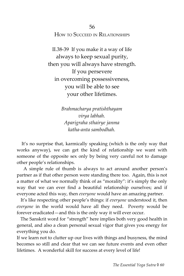56 HOW TO SUCCEED IN RELATIONSHIPS

II.38-39 If you make it a way of life always to keep sexual purity, then you will always have strength. If you persevere in overcoming possessiveness, you will be able to see your other lifetimes.

> *Brahmacharya pratishthayam virya labhah. Aparigraha sthairye janma katha-anta sambodhah.*

It's no surprise that, karmically speaking (which is the only way that works anyway), we can get the kind of relationship we want with someone of the opposite sex only by being very careful not to damage other people's relationships.

A simple rule of thumb is always to act around another person's partner as if that other person were standing there too. Again, this is not a matter of what we normally think of as "morality": it's simply the only way that we can ever find a beautiful relationship ourselves; and if everyone acted this way, then *everyone* would have an amazing partner.

It's like respecting other people's things: if *everyone* understood it, then *everyone* in the world would have all they need. Poverty would be forever eradicated—and this is the only way it will ever occur.

The Sanskrit word for "strength" here implies both very good health in general, and also a clean personal sexual vigor that gives you energy for everything you do.

If we learn not to clutter up our lives with things and busyness, the mind becomes so still and clear that we can see future events and even other lifetimes. A wonderful skill for success at every level of life!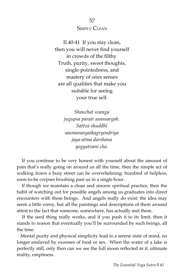# 57 SIMPLY CLEAN

II.40-41 If you stay clean, then you will never find yourself in crowds of the filthy. Truth, purity, sweet thoughts, single-pointedness, and mastery of ones senses are all qualities that make you suitable for seeing your true self.

> *Shauchat svanga jugupsa parair asansargah. Sattva shuddhi saumanasyaikagryendriya jaya-atma darshana yogyatvani cha.*

If you continue to be very honest with yourself about the amount of pain that's really going on around us all the time, then the simple act of walking down a busy street can be overwhelming: hundred of helpless, soon-to-be corpses brushing past us in a single hour.

If though we maintain a clean and sincere spiritual practice, then the habit of watching out for possible angels among us graduates into direct encounters with these beings. And angels really do exist: the idea may seem a little corny, but all the paintings and descriptions of them around attest to the fact that someone, somewhere, has actually met them.

If the seed thing really works, and if you push it to its limit, then it stands to reason that eventually you'll be surrounded by such beings, all the time.

 Mental purity and physical simplicity lead to a serene state of mind, no longer enslaved by excesses of food or sex. When the water of a lake is perfectly still, only then can we see the full moon reflected in it: ultimate reality, emptiness.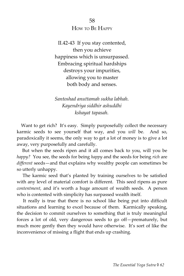### 58 HOW TO BE HAPPY

II.42-43 If you stay contented, then you achieve happiness which is unsurpassed. Embracing spiritual hardships destroys your impurities, allowing you to master both body and senses.

*Santoshad anuttamah sukha labhah. Kayendriya siddhir ashuddhi kshayat tapasah.*

Want to get rich? It's easy. Simply purposefully collect the necessary karmic seeds to see yourself that way, and you *will* be. And so, paradoxically it seems, the only way to get a lot of money is to give a lot away, very purposefully and carefully.

But when the seeds ripen and it all comes back to you, will you be *happy?* You see, the seeds for being *happy* and the seeds for being *rich* are *different* seeds—and that explains why wealthy people can sometimes be so utterly unhappy.

The karmic seed that's planted by training ourselves to be satisfied with any level of material comfort is different. This seed ripens as pure *contentment,* and it's worth a huge amount of wealth seeds. A person who is contented with simplicity has surpassed wealth itself.

It really is true that there is no school like being put into difficult situations and learning to excel because of them. Karmically speaking, the decision to commit ourselves to something that is truly meaningful forces a lot of old, very dangerous seeds to go off—prematurely, but much more gently then they would have otherwise. It's sort of like the inconvenience of missing a flight that ends up crashing.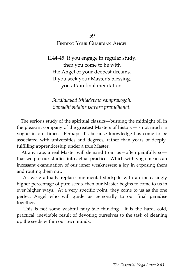### 59 FINDING YOUR GUARDIAN ANGEL

II.44-45 If you engage in regular study, then you come to be with the Angel of your deepest dreams. If you seek your Master's blessing, you attain final meditation.

*Svadhyayad ishtadevata samprayogah. Samadhi siddhir ishvara pranidhanat.*

The serious study of the spiritual classics—burning the midnight oil in the pleasant company of the greatest Masters of history—is not much in vogue in our times. Perhaps it's because knowledge has come to be associated with universities and degrees, rather than years of deeplyfulfilling apprenticeship under a true Master.

At any rate, a real Master will demand from us—often painfully so that we put our studies into actual practice. Which with yoga means an incessant examination of our inner weaknesses: a joy in exposing them and routing them out.

As we gradually replace our mental stockpile with an increasingly higher percentage of pure seeds, then our Master begins to come to us in ever higher ways. At a very specific point, they come to us as the one perfect Angel who will guide us personally to our final paradise together.

This is not some wishful fairy-tale thinking. It is the hard, cold, practical, inevitable result of devoting ourselves to the task of cleaning up the seeds within our own minds.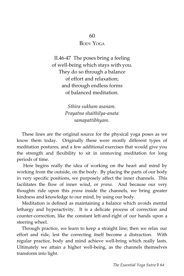### 60

### BODY YOGA

II.46-47 The poses bring a feeling of well-being which stays with you. They do so through a balance of effort and relaxation; and through endless forms of balanced meditation.

> *Sthira sukham asanam. Prayatna shaithilya-anata samapattibhyam.*

These lines are the original source for the physical yoga poses as we know them today. Originally these were mostly different types of meditation postures, and a few additional exercises that would give you the strength and flexibility to sit in unmoving meditation for long periods of time.

Here begins really the idea of working on the heart and mind by working from the outside, on the body. By placing the parts of our body in very specific positions, we purposely affect the inner channels. This facilitates the flow of inner wind, or *prana*. And because our very thoughts ride upon this *prana* inside the channels, we bring greater kindness and knowledge to our mind, by using our body.

Meditation is defined as maintaining a balance which avoids mental lethargy and hyperactivity. It is a delicate process of correction and counter-correction, like the constant left-and-right of our hands upon a steering wheel.

Through practice, we learn to keep a straight line; then we relax our effort and ride, lest the correcting itself become a distraction. With regular practice, body and mind achieve well-bring which really lasts. Ultimately we attain a higher well-being, as the channels themselves transform into light.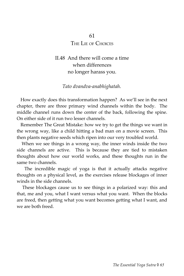#### 61

### THE LIE OF CHOICES

### II.48 And there will come a time when differences no longer harass you.

### *Tato dvandva-anabhighatah.*

How exactly does this transformation happen? As we'll see in the next chapter, there are three primary wind channels within the body. The middle channel runs down the center of the back, following the spine. On either side of it run two lesser channels.

Remember The Great Mistake: how we try to get the things we want in the wrong way, like a child hitting a bad man on a movie screen. This then plants negative seeds which ripen into our very troubled world.

When we see things in a wrong way, the inner winds inside the two side channels are active. This is because they are tied to mistaken thoughts about how our world works, and these thoughts run in the same two channels.

The incredible magic of yoga is that it actually attacks negative thoughts on a physical level, as the exercises release blockages of inner winds in the side channels.

These blockages cause us to see things in a polarized way: this and that, me and you, what I want versus what you want. When the blocks are freed, then getting what you want becomes getting what I want, and we are both freed.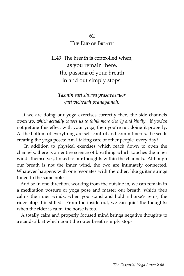# 62 THE END OF BREATH

II.49 The breath is controlled when, as you remain there, the passing of your breath in and out simply stops.

*Tasmin sati shvasa prashvasayor gati vichedah pranayamah.*

If we are doing our yoga exercises correctly then, the side channels open up, *which actually causes us to think more clearly and kindly.* If you're not getting this effect with your yoga, then you're not doing it properly. At the bottom of everything are self-control and commitments, the seeds creating the yoga poses: Am I taking care of other people, every day?

In addition to physical exercises which reach down to open the channels, there is an entire science of breathing which touches the inner winds themselves, linked to our thoughts within the channels. Although our breath is not the inner wind, the two are intimately connected. Whatever happens with one resonates with the other, like guitar strings tuned to the same note.

And so in one direction, working from the outside in, we can remain in a meditation posture or yoga pose and master our breath, which then calms the inner winds: when you stand and hold a horse's reins, the rider atop it is stilled. From the inside out, we can quiet the thoughts: when the rider is calm, the horse is too.

A totally calm and properly focused mind brings negative thoughts to a standstill, at which point the outer breath simply stops.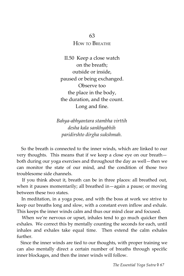# 63 HOW TO BREATHE

II.50 Keep a close watch on the breath; outside or inside, paused or being exchanged. Observe too the place in the body, the duration, and the count. Long and fine.

*Bahya-abhyantara stambha virttih desha kala sankhyabhih paridirshto dirgha sukshmah.*

So the breath is connected to the inner winds, which are linked to our very thoughts. This means that if we keep a close eye on our breath both during our yoga exercises and throughout the day as well—then we can monitor the state of our mind, and the condition of those two troublesome side channels.

If you think about it, breath can be in three places: all breathed out, when it pauses momentarily; all breathed in—again a pause; or moving between these two states.

In meditation, in a yoga pose, and with the boss at work we strive to keep our breaths long and slow, with a constant even inflow and exhale. This keeps the inner winds calm and thus our mind clear and focused.

When we're nervous or upset, inhales tend to go much quicker then exhales. We correct this by mentally counting the seconds for each, until inhales and exhales take equal time. Then extend the calm exhales further.

Since the inner winds are tied to our thoughts, with proper training we can also mentally direct a certain number of breaths through specific inner blockages, and then the inner winds will follow.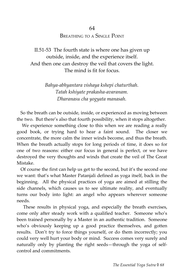# BREATHING TO <sup>A</sup> SINGLE POINT

# II.51-53 The fourth state is where one has given up outside, inside, and the experience itself. And then one can destroy the veil that covers the light. The mind is fit for focus.

*Bahya-abhyantara vishaya kshepi chaturthah. Tatah kshiyate prakasha-avaranam. Dharanasu cha yogyata manasah.*

So the breath can be outside, inside, or experienced as moving between the two. But there's also that fourth possibility, when it stops altogether.

We experience something close to this when we are reading a really good book, or trying hard to hear a faint sound. The closer we concentrate, the more calm the inner winds become, and thus the breath. When the breath actually stops for long periods of time, it does so for one of two reasons: either our focus in general is perfect, or we have destroyed the very thoughts and winds that create the veil of The Great Mistake.

Of course the first can help us get to the second, but it's the second one we want: that's what Master Patanjali defined as yoga itself, back in the beginning. All the physical practices of yoga are aimed at stilling the side channels, which causes us to see ultimate reality, and eventually turns our body into light: an angel who appears wherever someone needs.

These results in physical yoga, and especially the breath exercises, come only after steady work with a qualified teacher. Someone who's been trained personally by a Master in an authentic tradition. Someone who's obviously keeping up a good practice themselves, and gotten results. Don't try to force things yourself, or do them incorrectly; you could very well hurt your body or mind. Success comes very surely and naturally only by planting the right seeds—through the yoga of selfcontrol and commitments.

64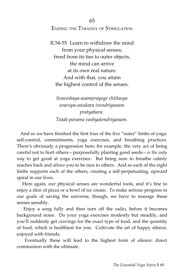65 ENDING THE TYRANNY OF STIMULATION

II.54-55Learn to withdraw the mind from your physical senses; freed from its ties to outer objects, the mind can arrive at its own real nature. And with that, you attain the highest control of the senses.

*Svavishaya-asamprayoge chittasya svarupa-anukara ivendriyanam pratyahara. Tatah parama vashyatendriyanam.*

 And so we have finished the first four of the five "outer" limbs of yoga: self-control, commitments, yoga exercises, and breathing practices. There's obviously a progression here; for example, the very act of being careful not to hurt others—purposefully planting good seeds—*is the only way* to get good at yoga exercises. But being sure to breathe calmly reaches back and *allows* you to be nice to others. And so each of the eight limbs supports each of the others, creating a self-perpetuating, upward spiral in our lives.

Here again, our physical senses are wonderful tools, and it's fine to enjoy a slice of pizza or a bowl of ice cream. To make serious progress in our goals of saving the universe, though, we have to manage these senses sensibly.

Enjoy a song fully and then turn off the radio, before it becomes background noise. Do your yoga exercises modestly but steadily, and you'll suddenly get cravings for the exact type of food, and the quantity of food, which is healthiest for you. Cultivate the art of happy silence, enjoyed with friends.

Eventually these will lead to the highest form of silence: direct communion with the ultimate.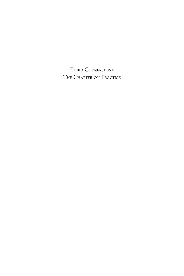THIRD CORNERSTONE THE CHAPTER ON PRACTICE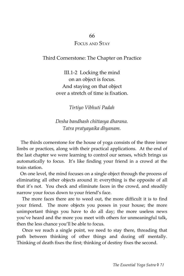### 66

### FOCUS AND STAY

### Third Cornerstone: The Chapter on Practice

III.1-2 Locking the mind on an object is focus. And staying on that object over a stretch of time is fixation.

*Tirtiyo Vibhuti Padah*

*Desha bandhash chittasya dharana. Tatra pratyayaika dhyanam.*

The thirds cornerstone for the house of yoga consists of the three inner limbs or practices, along with their practical applications. At the end of the last chapter we were learning to control our senses, which brings us automatically to focus. It's like finding your friend in a crowd at the train station.

 On one level, the mind focuses on a single object through the process of eliminating all other objects around it: everything is the opposite of all that it's not. You check and eliminate faces in the crowd, and steadily narrow your focus down to your friend's face.

The more faces there are to weed out, the more difficult it is to find your friend. The more objects you posses in your house; the more unimportant things you have to do all day; the more useless news you've heard and the more you meet with others for unmeaningful talk, then the less chance you'll be able to focus.

Once we reach a single point, we need to stay there, threading that path between thinking of other things and dozing off mentally. Thinking of death fixes the first; thinking of destiny fixes the second.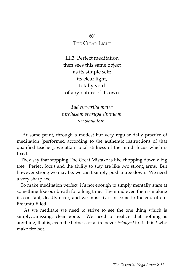#### 67

#### THE CLEAR LIGHT

III.3 Perfect meditation then sees this same object as its simple self: its clear light, totally void of any nature of its own

*Tad eva-artha matra nirbhasam svarupa shunyam iva samadhih.*

At some point, through a modest but very regular daily practice of meditation (performed according to the authentic instructions of that qualified teacher), we attain total stillness of the mind: focus which is fixed.

They say that stopping The Great Mistake is like chopping down a big tree. Perfect focus and the ability to stay are like two strong arms. But however strong we may be, we can't simply push a tree down. We need a very sharp axe.

To make meditation perfect, it's not enough to simply mentally stare at something like our breath for a long time. The mind even then is making its constant, deadly error, and we must fix it or come to the end of our life unfulfilled.

As we meditate we need to strive to see the one thing which is simply…missing, clear gone. We need to realize that nothing is anything; that is, even the hotness of a fire never *belonged* to it. It is *I* who make fire hot.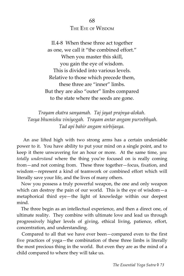### 68 THE EYE OF WISDOM

II.4-8 When these three act together as one, we call it "the combined effort." When you master this skill, you gain the eye of wisdom. This is divided into various levels. Relative to those which precede them, these three are "inner" limbs. But they are also "outer" limbs compared to the state where the seeds are gone.

*Trayam ekatra sanyamah. Taj jayat prajnya-alokah. Tasya bhumishu viniyogah. Trayam antar angam purvebhyah. Tad api bahir angam nirbijasya.*

An axe lifted high with two strong arms has a certain undeniable power to it. You have ability to put your mind on a single point, and to keep it there unwavering for an hour or more. At the same time, *you totally understand* where the thing you're focused on is really coming from—and not coming from. These three together—focus, fixation, and wisdom—represent a kind of teamwork or combined effort which will literally save your life, and the lives of many others.

Now you possess a truly powerful weapon, the one and only weapon which can destroy the pain of our world. This is the eye of wisdom—a metaphorical third eye—the light of knowledge within our deepest mind.

The three begin as an intellectual experience, and then a direct one, of ultimate reality. They combine with ultimate love and lead us through progressively higher levels of giving, ethical living, patience, effort, concentration, and understanding.

Compared to all that we have ever been—compared even to the first five practices of yoga—the combination of these three limbs is literally the most precious thing in the world. But even they are as the mind of a child compared to where they will take us.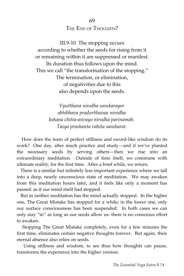69 THE END OF THOUGHTS?

III.9-10 The stopping occurs according to whether the seeds for rising from it or remaining within it are suppressed or manifest. Its duration thus follows upon the mind. This we call "the transformation of the stopping." The termination, or elimination, of negativities due to this also depends upon the seeds.

> *Vyutthana nirodha sanskarayor abhibhava pradurbhavau nirodha kshana chitta-anvayo nirodha parinamah. Tasya prashanta vahita sanskarat.*

How does the team of perfect stillness and sword-like wisdom do its work? One day, after much practice and study—and if we've planted the necessary seeds by serving others—then we rise into an extraordinary meditation. Outside of time itself, we commune with ultimate reality, for the first time. After a brief while, we return.

There is a similar but infinitely less important experience where we fall into a deep, nearly unconscious state of meditation. We may awaken from this meditation hours later, and it feels like only a moment has passed: as if our mind itself had stopped.

But in neither meditation has the mind actually stopped. In the higher one, The Great Mistake has stopped for a while; in the lower one, only our surface consciousness has been suspended. In both cases we can only stay "in" as long as our seeds allow us: there is no conscious effort to awaken.

Stopping The Great Mistake completely, even for a few minutes the first time, eliminates certain negative thoughts forever. But again, their eternal absence also relies on seeds.

Using stillness and wisdom, to see thus how thoughts can pause, transforms the experience into the higher version.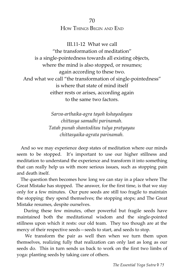70 HOW THINGS BEGIN AND END

III.11-12 What we call "the transformation of meditation" is a single-pointedness towards all existing objects, where the mind is also stopped, or resumes; again according to these two. And what we call "the transformation of single-pointedness" is where that state of mind itself either rests or arises, according again to the same two factors.

> *Sarva-arthaika-agra tayoh kshayodayau chittasya samadhi parinamah. Tatah punah shantoditau tulya pratyayau chittasyaika-agrata parinamah.*

And so we may experience deep states of meditation where our minds seem to be stopped. It's important to use our higher stillness and meditation to understand the experience and transform it into something that can really help us with more serious issues, such as stopping pain and death itself.

The question then becomes how long we can stay in a place where The Great Mistake has stopped. The answer, for the first time, is that we stay only for a few minutes. Our pure seeds are still too fragile to maintain the stopping: they spend themselves; the stopping stops; and The Great Mistake resumes, despite ourselves.

During these few minutes, other powerful but fragile seeds have maintained both the meditational wisdom and the single-pointed stillness upon which it rests: our old team. They too though are at the mercy of their respective seeds—seeds to start, and seeds to stop.

We transform the pair as well then when we turn them upon themselves, realizing fully that realization can only last as long as our seeds do. This in turn sends us back to work on the first two limbs of yoga: planting seeds by taking care of others.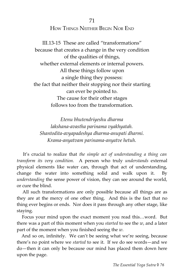### 71 HOW THINGS NEITHER BEGIN NOR END

III.13-15 These are called "transformations" because that creates a change in the very condition of the qualities of things, whether external elements or internal powers. All these things follow upon a single thing they possess: the fact that neither their stopping nor their starting can ever be pointed to. The cause for their other stages follows too from the transformation.

*Etenu bhutendriyeshu dharma lakshana-avastha parinama vyakhyatah. Shantodita-avyapadeshya dharma-anupati dharmi. Krama-anyatvam parinama-anyatve hetuh.*

It's crucial to realize that *the simple act of understanding a thing can transform its very condition.* A person who truly *understands* external physical elements like water can, through that act of understanding, change the water into something solid and walk upon it. By *understanding* the sense power of vision, they can see around the world, or cure the blind.

All such transformations are only possible because all things are as they are at the mercy of one other thing. And this is the fact that no thing ever begins or ends. Nor does it pass through any other stage, like staying.

Focus your mind upon the exact moment you read this…word. But there was a part of this moment when you *started* to see the *w*, and a later part of the moment when you finished seeing the *w*.

And so on, infinitely. We can't be seeing what we're seeing, because there's no point where we *started* to see it. If we do see words—and we do—then it can only be because our mind has placed them down here upon the page.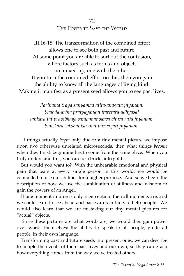# 72 THE POWER TO SAVE THE WORLD

III.16-18 The transformation of the combined effort allows one to see both past and future. At some point you are able to sort out the confusion, where factors such as terms and objects are mixed up, one with the other. If you turn the combined effort on this, then you gain the ability to know all the languages of living kind. Making it manifest as a present seed allows you to see past lives.

*Parinama traya sanyamad atita-anagata jnyanam. Shabda-artha pratyayanam itaretara-adhyasat sankara tat pravibhaga sanyamat sarva bhuta ruta jnyanam. Sanskara sakshat karanat purva jati jnyanam.*

If things actually *begin* only due to a tiny mental picture we impose upon two otherwise unrelated microseconds, then what things *become* when they finish beginning has to come from the same place. When you truly understand this, you can turn bricks into gold.

But would you want to? With the unbearable emotional and physical pain that tears at every single person in this world, we would be compelled to use our abilities for a higher purpose. And so we begin the description of how we use the combination of stillness and wisdom to gain the powers of an Angel.

If one moment in time is only a perception, then all moments are, and we could learn to see ahead and backwards in time, to help people. We would also learn that we are mistaking our tiny mental pictures for "actual" objects.

Since these pictures are what words are, we would then gain power over words themselves: the ability to speak to all people, guide all people, in their own language.

Transforming past and future seeds into present ones, we can describe to people the events of their past lives and our own, so they can grasp how everything comes from the way we've treated others.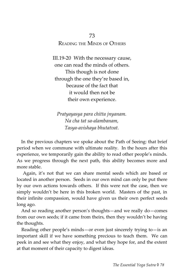# 73 READING THE MINDS OF OTHERS

III.19-20 With the necessary cause, one can read the minds of others. This though is not done through the one they're based in, because of the fact that it would then not be their own experience.

*Pratyayasya para chitta jnyanam. Na cha tat sa-alambanam, Tasya-avishaya bhutatvat.*

In the previous chapters we spoke about the Path of Seeing: that brief period when we commune with ultimate reality. In the hours after this experience, we temporarily gain the ability to read other people's minds. As we progress through the next path, this ability becomes more and more stable.

Again, it's not that we can share mental seeds which are based or located in another person. Seeds in our own mind can only be put there by our own actions towards others. If this were not the case, then we simply wouldn't be here in this broken world. Masters of the past, in their infinite compassion, would have given us their own perfect seeds long ago.

And so reading another person's thoughts—and we really do—comes from our own seeds; if it came from theirs, then they wouldn't be having the thoughts.

Reading other people's minds—or even just sincerely trying to—is an important skill if we have something precious to teach them. We can peek in and see what they enjoy, and what they hope for, and the extent at that moment of their capacity to digest ideas.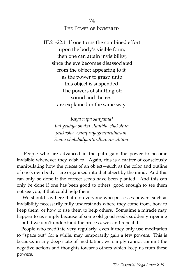74 THE POWER OF INVISIBILITY

III.21-22.1 If one turns the combined effort upon the body's visible form, then one can attain invisibility, since the eye becomes disassociated from the object appearing to it, as the power to grasp unto this object is suspended. The powers of shutting off sound and the rest are explained in the same way.

> *Kaya rupa sanyamat tad grahya shakti stambhe chakshuh prakasha-asamprayogentardharam. Etena shabdadyantardhanam uktam.*

People who are advanced in the path gain the power to become invisible whenever they wish to. Again, this is a matter of consciously manipulating how the pieces of an object—such as the color and outline of one's own body—are organized into that object by the mind. And this can only be done if the correct seeds have been planted. And this can only be done if one has been good to others: good enough to see them not see you, if that could help them.

We should say here that not everyone who possesses powers such as invisibility necessarily fully understands where they come from, how to keep them, or how to use them to help others. Sometime a miracle may happen to us simply because of some old good seeds suddenly ripening —but if we don't understand the process, we can't repeat it.

People who meditate very regularly, even if they only use meditation to "space out" for a while, may temporarily gain a few powers. This is because, in any deep state of meditation, we simply cannot commit the negative actions and thoughts towards others which keep us from these powers.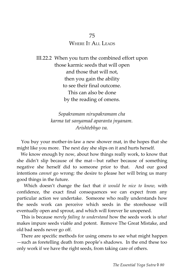### 75 WHERE IT ALL LEADS

III.22.2 When you turn the combined effort upon those karmic seeds that will open and those that will not, then you gain the ability to see their final outcome. This can also be done by the reading of omens.

> *Sopakramam nirupakramam cha karma tat sanyamad aparanta jnyanam. Arishtebhyo va.*

You buy your mother-in-law a new shower mat, in the hopes that she might like you more. The next day she slips on it and hurts herself.

We know enough by now, about how things really work, to know that she didn't slip because of the mat—but rather because of something negative she herself did to someone prior to that. And our good intentions *cannot* go wrong: the desire to please her will bring us many good things in the future.

Which doesn't change the fact that *it would be nice to know,* with confidence, the exact final consequences we can expect from any particular action we undertake. Someone who really understands how the seeds work can perceive which seeds in the storehouse will eventually open and sprout, and which will forever lie unopened.

This is because *merely failing to understand* how the seeds work is *what* makes impure seeds viable and potent. Remove The Great Mistake, and old bad seeds never go off.

There are specific methods for using omens to see what might happen —such as foretelling death from people's shadows. In the end these too only work if we have the right seeds, from taking care of others.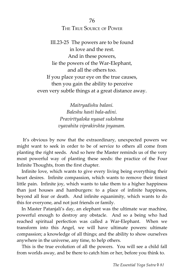76 THE TRUE SOURCE OF POWER

III.23-25 The powers are to be found in love and the rest. And in these powers, lie the powers of the War-Elephant, and all the others too. If you place your eye on the true causes, then you gain the ability to perceive even very subtle things at a great distance away.

> *Maitryadishu balani. Baleshu hasti bala-adini. Pravirttyaloka nyasat sukshma vyavahita viprakirshta jnyanam.*

It's obvious by now that the extraordinary, unexpected powers we might want to seek in order to be of service to others all come from planting the right seeds. And so here the Master reminds us of the very most powerful way of planting these seeds: the practice of the Four Infinite Thoughts, from the first chapter.

Infinite love, which wants to give every living being everything their heart desires. Infinite compassion, which wants to remove their tiniest little pain. Infinite joy, which wants to take them to a higher happiness than just houses and hamburgers: to a place of infinite happiness, beyond all fear or death. And infinite equanimity, which wants to do this for everyone, and not just friends or family.

In Master Patanjali's day, an elephant was the ultimate war machine, powerful enough to destroy any obstacle. And so a being who had reached spiritual perfection was called a War-Elephant. When we transform into this Angel, we will have ultimate powers: ultimate compassion; a knowledge of all things; and the ability to show ourselves anywhere in the universe, any time, to help others.

This is the true evolution of all the powers. You will see a child fall from worlds away, and be there to catch him or her, before you think to.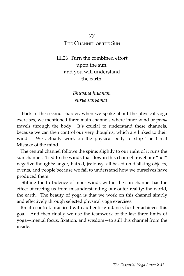77

THE CHANNEL OF THE SUN

III.26 Turn the combined effort upon the sun, and you will understand the earth.

> *Bhuvana jnyanam surye sanyamat.*

Back in the second chapter, when we spoke about the physical yoga exercises, we mentioned three main channels where inner wind or *prana* travels through the body. It's crucial to understand these channels, because we can then control our very thoughts, which are linked to their winds. We actually work on the physical body to stop The Great Mistake of the mind.

The central channel follows the spine; slightly to our right of it runs the sun channel. Tied to the winds that flow in this channel travel our "hot" negative thoughts: anger, hatred, jealousy, all based on disliking objects, events, and people because we fail to understand how we ourselves have produced them.

Stilling the turbulence of inner winds within the sun channel has the effect of freeing us from misunderstanding our outer reality: the world, the earth. The beauty of yoga is that we work on this channel simply and effectively through selected physical yoga exercises.

Breath control, practiced with authentic guidance, further achieves this goal. And then finally we use the teamwork of the last three limbs of yoga—mental focus, fixation, and wisdom—to still this channel from the inside.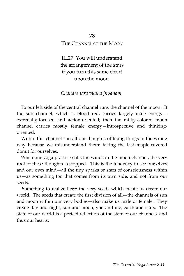# 78 THE CHANNEL OF THE MOON

III.27 You will understand the arrangement of the stars if you turn this same effort upon the moon.

*Chandre tara vyuha jnyanam.*

To our left side of the central channel runs the channel of the moon. If the sun channel, which is blood red, carries largely male energy externally-focused and action-oriented; then the milky-colored moon channel carries mostly female energy—introspective and thinkingoriented.

Within this channel run all our thoughts of liking things in the wrong way because we misunderstand them: taking the last maple-covered donut for ourselves.

When our yoga practice stills the winds in the moon channel, the very root of these thoughts is stopped. This is the tendency to see ourselves and our own mind—all the tiny sparks or stars of consciousness within us—as something too that comes from its own side, and not from our seeds.

Something to realize here: the very seeds which create us create our world. The seeds that create the first division of all—the channels of sun and moon within our very bodies—also make us male or female. They create day and night, sun and moon, you and me, earth and stars. The state of our world is a perfect reflection of the state of our channels, and thus our hearts.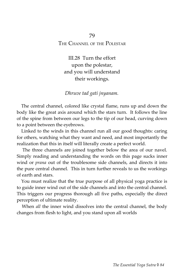# 79 THE CHANNEL OF THE POLESTAR

III.28 Turn the effort upon the polestar, and you will understand their workings.

*Dhruve tad gati jnyanam.*

The central channel, colored like crystal flame, runs up and down the body like the great axis around which the stars turn. It follows the line of the spine from between our legs to the tip of our head, curving down to a point between the eyebrows.

Linked to the winds in this channel run all our good thoughts: caring for others, watching what they want and need, and most importantly the realization that this in itself will literally create a perfect world.

The three channels are joined together below the area of our navel. Simply reading and understanding the words on this page sucks inner wind or *prana* out of the troublesome side channels, and directs it into the pure central channel. This in turn further reveals to us the workings of earth and stars.

You must realize that the true purpose of all physical yoga practice is to guide inner wind out of the side channels and into the central channel. This triggers our progress thorough all five paths, especially the direct perception of ultimate reality.

When *all* the inner wind dissolves into the central channel, the body changes from flesh to light, and you stand upon all worlds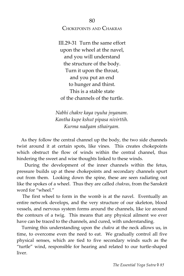80 CHOKEPOINTS AND CHAKRAS

III.29-31 Turn the same effort upon the wheel at the navel, and you will understand the structure of the body. Turn it upon the throat, and you put an end to hunger and thirst. This is a stable state of the channels of the turtle.

*Nabhi chakre kaya vyuha jnyanam. Kantha kupe kshut pipasa nivirttih. Kurma nadyam sthairyam.*

As they follow the central channel up the body, the two side channels twist around it at certain spots, like vines. This creates chokepoints which obstruct the flow of winds within the central channel, thus hindering the sweet and wise thoughts linked to these winds.

During the development of the inner channels within the fetus, pressure builds up at these chokepoints and secondary channels spurt out from them. Looking down the spine, these are seen radiating out like the spokes of a wheel. Thus they are called *chakras*, from the Sanskrit word for "wheel."

The first wheel to form in the womb is at the navel. Eventually an entire network develops, and the very structure of our skeleton, blood vessels, and nervous system forms around the channels, like ice around the contours of a twig. This means that any physical ailment we ever have can be traced to the channels, and cured, with understanding.

Turning this understanding upon the *chakra* at the neck allows us, in time, to overcome even the need to eat. We gradually control all five physical senses, which are tied to five secondary winds such as the "turtle" wind, responsible for hearing and related to our turtle-shaped liver.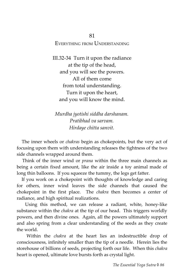81 EVERYTHING FROM UNDERSTANDING

III.32-34 Turn it upon the radiance at the tip of the head, and you will see the powers. All of them come from total understanding. Turn it upon the heart, and you will know the mind.

*Murdha jyotishi siddha darshanam. Pratibhad va sarvam. Hirdaye chitta sanvit.*

The inner wheels or *chakras* begin as chokepoints, but the very act of focusing upon them with understanding releases the tightness of the two side channels wrapped around them.

Think of the inner wind or *prana* within the three main channels as being a certain fixed amount, like the air inside a toy animal made of long thin balloons. If you squeeze the tummy, the legs get fatter.

If you work on a chokepoint with thoughts of knowledge and caring for others, inner wind leaves the side channels that caused the chokepoint in the first place. The *chakra* then becomes a center of radiance, and high spiritual realizations.

Using this method, we can release a radiant, white, honey-like substance within the *chakra* at the tip of our head. This triggers worldly powers, and then divine ones. Again, all the powers ultimately support and also spring from a clear understanding of the seeds as they create the world.

Within the *chakra* at the heart lies an indestructible drop of consciousness, infinitely smaller than the tip of a needle. Herein lies the storehouse of billions of seeds, projecting forth our life. When this *chakra* heart is opened, ultimate love bursts forth as crystal light.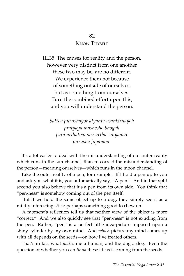### 82 KNOW THYSELF

III.35 The causes for reality and the person, however very distinct from one another these two may be, are no different. We experience them not because of something outside of ourselves, but as something from ourselves. Turn the combined effort upon this, and you will understand the person.

*Sattva purushayor atyanta-asankirnayoh pratyaya-avishesho bhogah para-arthatvat sva-artha sanyamat purusha jnyanam.*

It's a lot easier to deal with the misunderstanding of our outer reality which runs in the sun channel, than to correct the misunderstanding of the person—meaning ourselves—which runs in the moon channel.

Take the outer reality of a pen, for example. If I hold a pen up to you and ask you what it is, you automatically say, "A pen." And in that split second you also believe that it's a pen from its own side. You think that "pen-ness" is somehow coming out of the pen itself.

But if we hold the same object up to a dog, they simply see it as a mildly interesting stick: perhaps something good to chew on.

A moment's reflection tell us that neither view of the object is more "correct." And we also quickly see that "pen-ness" is not exuding from the pen. Rather, "pen" is a perfect little idea-picture imposed upon a shiny cylinder by my own mind. And *which* picture my mind comes up with all depends on the seeds—on how I've treated others.

That's in fact what *makes* me a human, and the dog a dog. Even the question of whether you can *think* these ideas is coming from the seeds.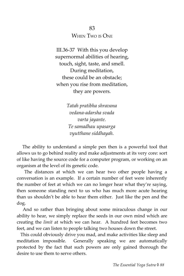83 WHEN TWO IS ONE

III.36-37 With this you develop supernormal abilities of hearing, touch, sight, taste, and smell. During meditation, these could be an obstacle; when you rise from meditation, they are powers.

> *Tatah pratibha shravana vedana-adarsha svada varta jayante. Te samadhau upasarga vyutthane siddhayah.*

The ability to understand a simple pen then is a powerful tool that allows us to go behind reality and make adjustments at its very core: sort of like having the source code for a computer program, or working on an organism at the level of its genetic code.

The distances at which we can hear two other people having a conversation is an example. If a certain number of feet were inherently the number of feet at which we can no longer hear what they're saying, then someone standing next to us who has much more acute hearing than us shouldn't be able to hear them either. Just like the pen and the dog.

And so rather than bringing about some miraculous change in our ability to hear, we simply replace the seeds in our own mind which are creating the *limit* at which we can hear. A hundred feet becomes two feet, and we can listen to people talking two houses down the street.

This could obviously drive you mad, and make activities like sleep and meditation impossible. Generally speaking we are automatically protected by the fact that such powers are only gained thorough the desire to use them to serve others.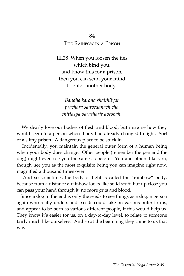# 84 THE RAINBOW IN <sup>A</sup> PRISON

III.38 When you loosen the ties which bind you, and know this for a prison, then you can send your mind to enter another body.

*Bandha karana shaithilyat prachara sanvedanach cha chittasya parasharir aveshah.*

We dearly love our bodies of flesh and blood, but imagine how they would seem to a person whose body had already changed to light. Sort of a slimy prison. A dangerous place to be stuck in.

Incidentally, you maintain the general outer form of a human being when your body does change. Other people (remember the pen and the dog) might even see you the same as before. You and others like you, though, see you as the most exquisite being you can imagine right now, magnified a thousand times over.

And so sometimes the body of light is called the "rainbow" body, because from a distance a rainbow looks like solid stuff, but up close you can pass your hand through it: no more guts and blood.

Since a dog in the end is only the seeds to see things as a dog, a person again who really understands seeds could take on various outer forms, and appear to be born as various different people, if this would help us. They know it's easier for us, on a day-to-day level, to relate to someone fairly much like ourselves. And so at the beginning they come to us that way.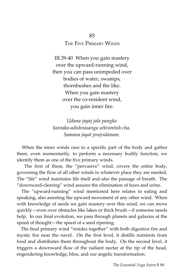### 85 THE FIVE PRIMARY WINDS

III.39-40 When you gain mastery over the upward-running wind, then you can pass unimpeded over bodies of water, swamps, thornbushes and the like. When you gain mastery over the co-resident wind, you gain inner fire.

*Udana jayaj jala pangka kantaka-adishvasanga utkrantish cha. Samana jayat prajvalanam.*

When the inner winds race to a specific part of the body and gather there, even momentarily, to perform a necessary bodily function, we identify them as one of the five primary winds.

The first of these, the "pervasive" wind, covers the entire body, governing the flow of all other winds to whatever place they are needed. The "life" wind maintains life itself and also the passage of breath. The "downward-clearing" wind assures the elimination of feces and urine.

The "upward-running" wind mentioned here relates to eating and speaking, also assisting the upward movement of any other wind. When with knowledge of seeds we gain mastery over this wind, we can move quickly—even over obstacles like lakes or thick brush—if someone needs help. In our final evolution, we pass through planets and galaxies at the speed of thought—the speed of a seed ripening.

The final primary wind "resides together" with both digestive fire and mystic fire near the navel. On the first level, it distills nutrients from food and distributes them throughout the body. On the second level, it triggers a downward flow of the radiant nectar at the tip of the head, engendering knowledge, bliss, and our angelic transformation.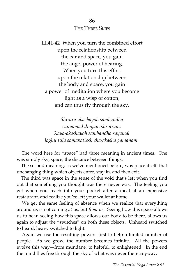### 86 THE THREE SKIES

III.41-42 When you turn the combined effort upon the relationship between the ear and space, you gain the angel power of hearing. When you turn this effort upon the relationship between the body and space, you gain a power of meditation where you become light as a wisp of cotton, and can thus fly through the sky.

*Shrotra-akashayoh sambandha sanyamad divyam shrotram. Kaya-akashayoh sambandha sayamal laghu tula samapattesh cha-akasha gamanam.*

The word here for "space" had three meaning in ancient times. One was simply sky, space, the distance between things.

The second meaning, as we've mentioned before, was place itself: that unchanging thing which objects enter, stay in, and then exit.

The third was space in the sense of the void that's left when you find out that something you thought was there never was. The feeling you get when you reach into your pocket after a meal at an expensive restaurant, and realize you're left your wallet at home.

We get the same feeling of absence when we realize that everything around us is not coming *at* us, but *from* us. Seeing how this space allows us to hear, seeing how this space allows our body to be there, allows us again to adjust the "switches" on both these objects. Unheard switched to heard, heavy switched to light.

Again we use the resulting powers first to help a limited number of people. As we grow, the number becomes infinite. All the powers evolve this way—from mundane, to helpful, to enlightened. In the end the mind flies free through the sky of what was never there anyway.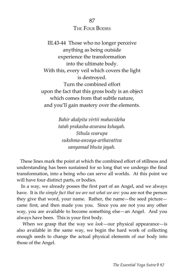### 87 THE FOUR BODIES

III.43-44 Those who no longer perceive anything as being outside experience the transformation into the ultimate body. With this, every veil which covers the light is destroyed. Turn the combined effort upon the fact that this gross body is an object which comes from that subtle nature, and you'll gain mastery over the elements.

> *Bahir akalpita virtti mahavideha tatah prakasha-avarana kshayah. Sthula svarupa sukshma-anvaya-arthavattva sanyamad bhuta jayah.*

 These lines mark the point at which the combined effort of stillness and understanding has been sustained for so long that we undergo the final transformation, into a being who can serve all worlds. At this point we will have four distinct parts, or bodies.

In a way, we already posses the first part of an Angel, and we always have. It is *the simple fact that we are not what we are:* you are not the person they give that word, your name. Rather, the name—the seed picture came first, and then made you you. Since you are not you any other way, you are available to become something else—an Angel. And you always have been. This is your first body.

When we grasp that the way we *look*—our physical appearance—is also available in the same way, we begin the hard work of collecting enough seeds to change the actual physical elements of our body into those of the Angel.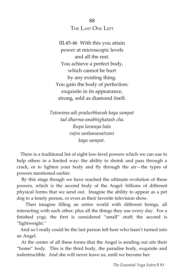88 THE LAST ONE LEFT

III.45-46 With this you attain power at microscopic levels and all the rest. You achieve a perfect body, which cannot be hurt by any existing thing. You gain the body of perfection: exquisite in its appearance, strong, sold as diamond itself.

*Tatonima-adi pradurbhavah kaya sampat tad dharma-anabhighatash cha. Rupa lavanya bala vajra sanhananatvani kaya sampat.*

There is a traditional list of eight low-level powers which we can use to help others in a limited way: the ability to shrink and pass through a crack, or to lighten your body and fly through the air—the types of powers mentioned earlier.

By this stage though we have reached the ultimate evolution of these powers, which is the second body of the Angel: billions of different physical forms that we send out. Imagine the ability to appear as a pet dog to a lonely person, or even as their favorite television show.

Then imagine filling an entire world with different beings, all interacting with each other; plus all the things they use every day. For a finished yogi, the first is considered "small" stuff; the second is "lightweight."

And so I really could be the last person left here who hasn't turned into an Angel.

At the center of all these forms that the Angel is sending out sits their "home" body. This is the third body, the paradise body, exquisite and indestructible. And she will never leave us, until we become her.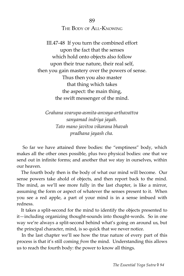89 THE BODY OF ALL-KNOWING

III.47-48 If you turn the combined effort upon the fact that the senses which hold onto objects also follow upon their true nature, their real self, then you gain mastery over the powers of sense. Thus then you also master that thing which takes the aspect: the main thing, the swift messenger of the mind.

*Grahana svarupa-asmita-anvaya-arthavattva sanyamad indriya jayah. Tato mano javitva vikarana bhavah pradhana jayash cha.*

So far we have attained three bodies: the "emptiness" body, which makes all the other ones possible, plus two physical bodies: one that we send out in infinite forms; and another that we stay in ourselves, within our heaven.

The fourth body then is the body of what our mind will become. Our sense powers take ahold of objects, and then report back to the mind. The mind, as we'll see more fully in the last chapter, is like a mirror, assuming the form or aspect of whatever the senses present to it. When you see a red apple, a part of your mind is in a sense imbued with redness.

It takes a split-second for the mind to identify the objects presented to it—including organizing thought-sounds into thought-words. So in one way we're always a split-second behind what's going on around us, but the principal character, mind, is so quick that we never notice.

In the last chapter we'll see how the true nature of every part of this process is that it's still coming *from* the mind. Understanding this allows us to reach the fourth body: the power to know all things.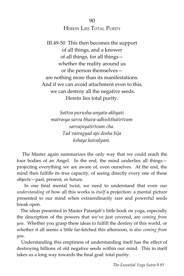90 HEREIN LIES TOTAL PURITY

III.49-50 This then becomes the support of all things, and a knower of all things, for all things whether the reality around us or the person themselves are nothing more than its manifestations. And if we can avoid attachment even to this, we can destroy all the negative seeds. Herein lies total purity.

*Sattva purusha-anyata-akhyati matrasya sarva bhava-adhishthatirtvam sarvajnyatirtvam cha. Tad vairagyad api dosha bija kshaye kaivalyam.*

The Master again summarizes the only way that we could reach the four bodies of an Angel. In the end, the mind underlies all things projecting everything we are aware of, even ourselves. At the end, the mind then fulfills its true capacity, of seeing directly every one of these objects—past, present, or future.

In one final mental twist, we need to understand that even our *understanding* of how all this works is *itself* a projection: a mental picture presented to our mind when extraordinarily rare and powerful seeds break open.

The ideas presented in Master Patanjali's little book on yoga, especially the description of the powers that we've just covered, are *coming from you*. Whether you grasp these ideas to fulfill the destiny of this world, or whether it all seems a little far-fetched this afternoon, is *also coming from you.*

Understanding this emptiness of understanding itself has the effect of destroying billions of old negative seeds within our mind. This in itself takes us a long way towards the final goal: total purity.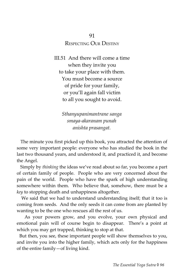### 91 RESPECTING OUR DESTINY

III.51 And there will come a time when they invite you to take your place with them. You must become a source of pride for your family, or you'll again fall victim to all you sought to avoid.

> *Sthanyupanimantrane sanga smaya-akaranam punah anishta prasangat.*

The minute you first picked up this book, you attracted the attention of some very important people: everyone who has studied the book in the last two thousand years, and understood it, and practiced it, and become the Angel.

 Simply by *thinking* the ideas we've read about so far, you become a part of certain family of people. People who are very concerned about the pain of the world. People who have the spark of high understanding somewhere within them. Who believe that, somehow, there must be a *key* to stopping death and unhappiness altogether.

We said that we had to understand understanding itself; that it too is coming from seeds. And the only seeds it can come from are planted by wanting to be the one who rescues all the rest of us.

As your powers grow, and you evolve, your own physical and emotional pain will of course begin to disappear. There's a point at which you may get trapped, thinking to stop at that.

But then, you see, these important people will show themselves to you, and invite you into the higher family, which acts only for the happiness of the entire family—of living kind.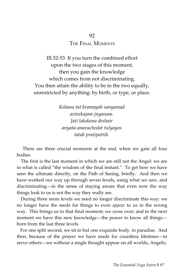### 92 THE FINAL MOMENTS

III.52-53 If you turn the combined effort upon the two stages of this moment, then you gain the knowledge which comes from not discriminating. You then attain the ability to be in the two equally, unrestricted by anything: by birth, or type, or place.

> *Kshana tat kramayoh sanyamad avivekajam jnyanam. Jati lakskana deshair anyata-anavachedat tulyayos tatah pratipattih.*

There are three crucial moments at the end, when we gain all four bodies.

The first is the last moment in which we are still not the Angel: we are in what is called "the wisdom of the final instant." To get here we have seen the ultimate directly, on the Path of Seeing, briefly. And then we have worked our way up through seven levels, using what we saw, and discriminating—in the sense of staying aware that even now the way things look to us is not the way they really are.

During three more levels we need no longer discriminate this way: we no longer have the seeds for things to even *appear* to us in the wrong way. This brings us to that final moment; we cross over; and in the next moment we have this new knowledge—the power to know all things born from the last three levels.

 For one split second, we sit in but one exquisite body, in paradise. And then, because of the prayer we have made for countless lifetimes—to serve others—we without a single thought appear on all worlds, Angelic.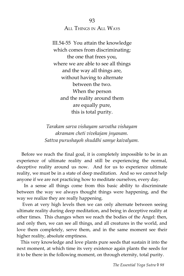93 ALL THINGS IN ALL WAYS

III.54-55 You attain the knowledge which comes from discriminating; the one that frees you, where we are able to see all things and the way all things are, without having to alternate between the two. When the person and the reality around them are equally pure, this is total purity.

*Tarakam sarva vishayam sarvatha vishayam akramam cheti vivekajam jnyanam. Sattva purushayoh shuddhi samye kaivalyam.*

Before we reach the final goal, it is completely impossible to be in an experience of ultimate reality and still be experiencing the normal, deceptive reality around us now. And for us to experience ultimate reality, we must be in a state of deep meditation. And so we cannot help anyone if we are not practicing how to meditate ourselves, every day.

In a sense all things come from this basic ability to discriminate between the way we always thought things were happening, and the way we realize they are really happening.

Even at very high levels then we can only alternate between seeing ultimate reality during deep meditation, and being in deceptive reality at other times. This changes when we reach the bodies of the Angel: then, and only then, we can see all things, and all creatures in the world, and love them completely, serve them, and in the same moment see their higher reality, absolute emptiness.

This very knowledge and love plants pure seeds that sustain it into the next moment, at which time its very existence again plants the seeds for it to be there in the following moment, on through eternity, total purity.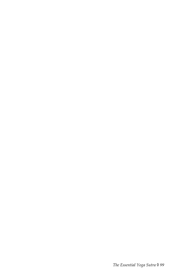*The Essential Yoga Sutra ◊ 99*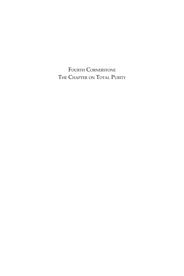FOURTH CORNERSTONE THE CHAPTER ON TOTAL PURITY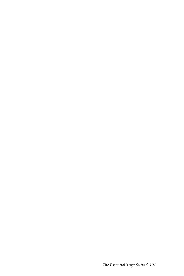*The Essential Yoga Sutra ◊ 101*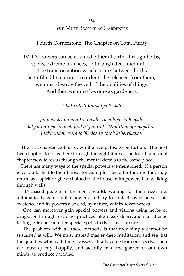# 94 WE MUST BECOME AS GARDENERS

### Fourth Cornerstone: The Chapter on Total Purity

IV. I-3 Powers can be attained either at birth, through herbs, spells, extreme practices, or through deep meditation. The transformation which occurs between births is fulfilled by nature. In order to be released from them, we must destroy the veil of the qualities of things. And then we must become as gardeners.

*Chaturthah Kaivailya Padah*

*Janmaushadhi mantra tapah samadhija siddhayah. Jatyantara parinamah prakirtyapurat. Nimittam aprayojakam prakirtinam varana bhedas tu tatah kshetrikavat.*

The first chapter took us down the five paths, to perfection. The next two chapters took us there through the eight limbs. The fourth and final chapter now takes us through the mental details to the same place.

There are many ways to the special powers we mentioned. If a person is very attached to their house, for example, then after they die they may return as a spirit or ghost chained to the house, with powers like walking through walls.

Deceased people in the spirit world, waiting for their next life, automatically gain similar powers, and try to contact loved ones. This existence and its powers also end, by nature, within seven weeks.

One can moreover gain special powers and visions using herbs or drugs, or through extreme practices like sleep deprivation or drastic fasting. Or one can utter special spells to fly or pick up fire.

The problem with all these methods is that they simply cannot be sustained at will. We must instead master deep meditation, and see that the qualities which all things posses actually come from our seeds. Then we must quietly, happily, and steadily tend the garden of our own minds, to produce paradise.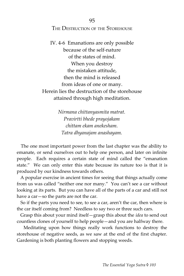95 THE DESTRUCTION OF THE STOREHOUSE

IV. 4-6 Emanations are only possible because of the self-nature of the states of mind. When you destroy the mistaken attitude, then the mind is released from ideas of one or many. Herein lies the destruction of the storehouse attained through high meditation.

> *Nirmana chittanyasmita matrat. Pravirtti bhede prayojakam chittam ekam anekesham. Tatra dhyanajam anashayam.*

The one most important power from the last chapter was the ability to emanate, or send ourselves out to help one person, and later on infinite people. Each requires a certain state of mind called the "emanation state." We can only enter this state because its nature too is that it is produced by our kindness towards others.

 A popular exercise in ancient times for seeing that things actually come from us was called "neither one nor many." You can't see a car without looking at its parts. But you can have all of the parts of a car and still not have a car—so the parts are not the car.

So if the parts you need to see, to see a car, aren't the car, then where is the car itself coming from? Needless to say two or three such cars.

 Grasp this about your mind itself—grasp this about the *idea* to send out countless clones of yourself to help people—and you are halfway there.

Meditating upon how things really work functions to destroy the storehouse of negative seeds, as we saw at the end of the first chapter. Gardening is both planting flowers and stopping weeds.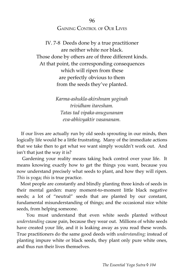96 GAINING CONTROL OF OUR LIVES

IV. 7-8 Deeds done by a true practitioner are neither white nor black. Those done by others are of three different kinds. At that point, the corresponding consequences which will ripen from these are perfectly obvious to them from the seeds they've planted.

> *Karma-ashukla-akirshnam yoginah trividham itaresham. Tatas tad vipaka-anugunanam eva-abhivyaktir vasananam.*

If our lives are actually run by old seeds sprouting in our minds, then logically life would be a little frustrating. Many of the immediate actions that we take then to get what we want simply wouldn't work out. And isn't that just the way it is?

Gardening your reality means taking back control over your life. It means knowing exactly how to get the things you want, because you now understand precisely what seeds to plant, and how they will ripen. *This* is yoga; *this* is true practice.

Most people are constantly and blindly planting three kinds of seeds in their mental garden: many moment-to-moment little black negative seeds; a lot of "neutral" seeds that are planted by our constant, fundamental misunderstanding of things; and the occasional nice white seeds, from helping someone.

You must understand that even white seeds planted without *understanding* cause pain, because they wear out. Millions of white seeds have created your life, and it is leaking away as you read these words. True practitioners do the same good deeds with *understanding;* instead of planting impure white or black seeds, they plant only pure white ones, and thus run their lives themselves.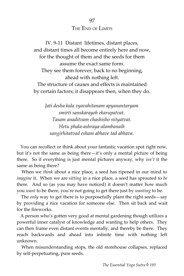### 97 THE END OF LIMITS

IV. 9-11 Distant lifetimes, distant places, and distant times all become entirely here and now, for the thought of them and the seeds for them assume the exact same form. They see them forever, back to no beginning, ahead with nothing left. The structure of causes and effects is maintained by certain factors; it disappears then, when they do.

*Jati desha kala vyavahitanam apyanantaryam smirti sanskarayoh ekarupatvat. Tasam anaditvam chashisho nityatvat. Hetu phala-ashraya-alambanaih sangirhitatvad esham abhave tad abhava.*

You can recollect or think about your fantastic vacation spot right now, but it's not the same as being there—it's only a mental picture of being there. So if everything is just mental pictures anyway, why *isn't* it the same as being there?

When we *think* about a nice place, a seed has ripened in our mind to *imagine* it. When we are *sitting* in a nice place, a seed has sprouted to *be* there. And so (as you may have noticed) it doesn't matter how much you *want* to be there, you're not going to get there just by *wanting* to be.

The *only* way to get there is to purposefully plant the right seeds—say by providing a nice vacation for someone else. Then sit back and wait for the fireworks.

 A person who's gotten very good at mental gardening though utilizes a powerful inner catalyst of knowledge and wanting to help others. They can then frame even distant events mentally, and thereby be there. They reach backwards and ahead into infinite time with nothing left unknown.

When misunderstanding stops, the old storehouse collapses, replaced by self-perpetuating, pure seeds.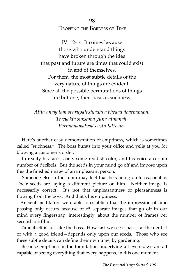98 DROPPING THE BORDERS OF TIME

IV. 12-14 It comes because those who understand things have broken through the idea that past and future are times that could exist in and of themselves. For them, the most subtle details of the very nature of things are evident. Since all the possible permutations of things are but one, their basis is suchness.

*Atita-anagatam svarupatostyadhva bhedad dharmanam. Te vyakta sukshma guna-atmanah. Parinamaikatvad vastu tattvam.*

Here's another easy demonstration of emptiness, which is sometimes called "suchness." The boss bursts into your office and yells at you for blowing a customer's order.

In reality his face is only some reddish color, and his voice a certain number of decibels. But the seeds in your mind go off and impose upon this the finished image of an unpleasant person.

Someone else in the room may feel that he's being quite reasonable. Their seeds are laying a different picture on him. Neither image is necessarily correct. It's not that unpleasantness or pleasantness is flowing from the boss. And that's his emptiness.

Ancient meditators were able to establish that the impression of time passing only occurs because of 65 separate images that go off in our mind every fingersnap; interestingly, about the number of frames per second in a film.

Time itself is just like the boss. How fast we see it pass—at the dentist or with a good friend—depends only upon our seeds. Those who see these subtle details can define their own time, by gardening.

Because emptiness is the foundation underlying all events, we are all capable of seeing everything that every happens, in this one moment.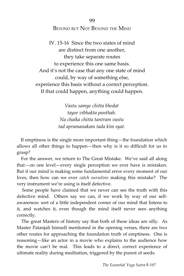99 BEYOND BUT NOT BEYOND THE MIND

IV. 15-16 Since the two states of mind are distinct from one another, they take separate routes to experience this one same basis. And it's not the case that any one state of mind could, by way of something else, experience this basis without a correct perception. If that could happen, anything could happen.

> *Vastu samye chitta bhedat tayor vibhakta panthah. Na chaika chitta tantram vastu tad apramanakam tada kim syat.*

If emptiness is the single more important thing—the foundation which allows all other things to happen—then why is it so difficult for us to grasp?

For the answer, we return to The Great Mistake. We've said all along that—on one level—every single perception we ever have is mistaken. But if our mind is making some fundamental error every moment of our lives, then how can we ever *catch ourselves* making this mistake? The very instrument we're using is itself defective.

Some people have claimed that we never can see the truth with this defective mind. Others say we can, if we work by way of our selfawareness: sort of a little independent corner of our mind that listens to it, and watches it, even though the mind itself never sees anything correctly.

The great Masters of history say that both of these ideas are silly. As Master Patanjali himself mentioned in the opening verses, there are two other routes for approaching the foundation truth of emptiness. One is reasoning—like an actor in a movie who explains to the audience how the movie can't be real. This leads to a direct, correct experience of ultimate reality during meditation, triggered by the purest of seeds.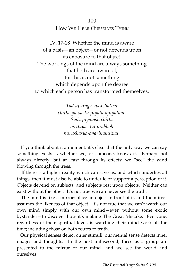100 HOW WE HEAR OURSELVES THINK

IV. 17-18 Whether the mind is aware of a basis—an object—or not depends upon its exposure to that object. The workings of the mind are always something that both are aware of, for this is not something which depends upon the degree to which each person has transformed themselves.

> *Tad uparaga-apekshatvat chittasya vastu jnyata-ajnyatam. Sada jnyatash chitta virttayas tat prabhoh purushasya-aparinamitvat.*

If you think about it a moment, it's clear that the only way we can say something exists is whether we, or someone, knows it. Perhaps not always directly, but at least through its effects: we "see" the wind blowing through the trees.

If there is a higher reality which can save us, and which underlies all things, then it must also be able to underlie or support a perception of it. Objects depend on subjects, and subjects rest upon objects. Neither can exist without the other. It's not true we can never see the truth.

The mind is like a mirror: place an object in front of it, and the mirror assumes the likeness of that object. It's not true that we can't watch our own mind simply with our own mind—even without some exotic bystander—to discover how it's making The Great Mistake. Everyone, regardless of their spiritual level, is watching their mind work all the time; including those on both routes to truth.

 Our physical senses detect outer stimuli; our mental sense detects inner images and thoughts. In the next millisecond, these as a group are presented to the mirror of our mind—and we see the world and ourselves.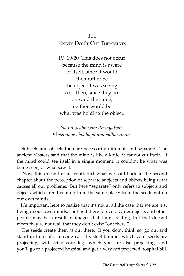### 101 KNIVES DON'T CUT THEMSELVES

IV. 19-20 This does not occur because the mind is aware of itself, since it would then rather be the object it was seeing. And then, since they are one and the same, neither would be what was holding the object.

*Na tat svabhasam dirshyatvat. Ekasamaye chobhaya-anavadharanam.*

Subjects and objects then are necessarily different, and separate. The ancient Masters said that the mind is like a knife: it cannot cut itself. If the mind could see itself in a single moment, it couldn't be what was being seen, or what saw it.

Now this doesn't at all contradict what we said back in the second chapter about the perception of separate subjects and objects being what causes all our problems. But here "separate" only refers to subjects and objects which aren't coming from the same place: from the seeds within our own minds.

It's important here to realize that it's not at all the case that we are just living in our own minds, confined there forever. Outer objects and other people may be a result of images that I am creating, but that doesn't mean they're not real, that they don't exist "out there."

The seeds create them *as* out there. If you don't think so, go out and stand in front of a moving car. Its steel bumper which your seeds are projecting, will strike your leg—which you are also projecting—and you'll go to a projected hospital and get a very *real* projected hospital bill.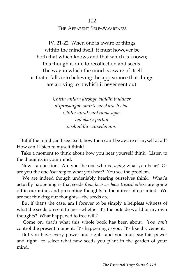102 THE APPARENT SELF-AWARENESS

IV. 21-22 When one is aware of things within the mind itself, it must however be both that which knows and that which is known; this though is due to recollection and seeds. The way in which the mind is aware of itself is that it falls into believing the appearance that things are arriving to it which it never sent out.

> *Chitta-antara dirshye buddhi buddher atiprasangah smirti sanskarash cha. Chiter apratisankrama-ayas tad akara pattau svabuddhi sanvedanam.*

But if the mind can't see itself, how then can I be aware of myself at all? How can I listen to myself think?

Take a moment to think about how you hear yourself think. Listen to the thoughts in your mind.

Now—a question. Are you the one who is *saying* what you hear? Or are you the one *listening* to what you hear? You see the problem.

We are indeed though undeniably hearing ourselves think. What's actually happening is that seeds *from how we have treated others* are going off in our mind, and presenting thoughts to the mirror of our mind. We are not thinking our thoughts—the seeds are.

But if that's the case, am I forever to be simply a helpless witness of what the seeds present to me—whether it's the outside world or my own thoughts? What happened to free will?

Come on, that's what this whole book has been about. You *can't* control the present moment. It's happening *to* you. It's like dry cement.

But you have every power and right—and you must *use* this power and right—to select what new seeds you plant in the garden of your mind.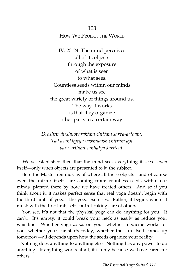# 103 HOW WE PROJECT THE WORLD

IV. 23-24 The mind perceives all of its objects through the exposure of what is seen to what sees. Countless seeds within our minds make us see the great variety of things around us. The way it works is that they organize other parts in a certain way.

*Drashtir dirshyoparaktam chittam sarva-artham. Tad asankhyeya vasanabish chitram api para-artham sanhatya karitvat.*

We've established then that the mind sees everything it sees—even itself—only when objects are presented to it, the subject.

Here the Master reminds us of where all these objects—and of course even the mirror itself—are coming from: countless seeds within our minds, planted there by how we have treated others. And so if you think about it, it makes perfect sense that real yoga doesn't begin with the third limb of yoga—the yoga exercises. Rather, it begins where it must: with the first limb, self-control, taking care of others.

You see, it's not that the physical yoga can do anything for you. It can't. It's empty: it could break your neck as easily as reduce your waistline. Whether yoga *works* on you—whether medicine works for you, whether your car starts today, whether the sun itself comes up tomorrow—all depends upon how the seeds organize your reality.

Nothing does anything to anything else. Nothing has any power to do anything. If anything works at all, it is only because we have cared for others.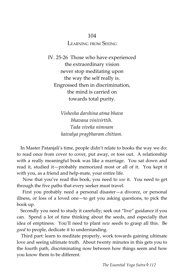### 104

#### LEARNING FROM SEEING

IV. 25-26 Those who have experienced the extraordinary vision never stop meditating upon the way the self really is. Engrossed then in discrimination, the mind is carried on towards total purity.

> *Vishesha darshina atma bhava bhavana vinivirttih. Tada viveka nimnam kaivalya pragbharam chittam.*

In Master Patanjali's time, people didn't relate to books the way we do: to read once from cover to cover, put away, or toss out. A relationship with a really meaningful book was like a marriage. You sat down and read it, studied it—probably memorized most or all of it. You kept it with you, as a friend and help-mate, your entire life.

Now that you've read this book, you need to *use* it. You need to get through the five paths that every seeker must travel.

First you probably need a personal disaster—a divorce, or personal illness, or loss of a loved one—to get you asking questions, to pick the book up.

 Secondly you need to study it carefully; seek out "live" guidance if you can. Spend a lot of time thinking about the seeds, and especially that idea of emptiness. You'll need to plant *new* seeds to grasp all this. Be *good* to people, dedicate it to understanding.

Third part: learn to meditate properly, work towards gaining ultimate love and seeing ultimate truth. About twenty minutes in this gets you to the fourth path, discriminating now between how things seem and how you know them to be different.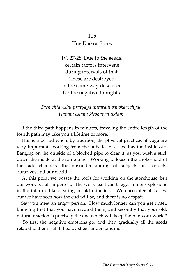#### 105

#### THE END OF SEEDS

IV. 27-28 Due to the seeds, certain factors intervene during intervals of that. These are destroyed in the same way described for the negative thoughts.

*Tach chidreshu pratyaya-antarani sanskarebhyah. Hanam esham kleshavad uktam.*

If the third path happens in minutes, traveling the entire length of the fourth path may take you a lifetime or more.

This is a period when, by tradition, the physical practices of yoga are very important: working from the outside in, as well as the inside out. Banging on the outside of a blocked pipe to clear it, as you push a stick down the inside at the same time. Working to loosen the choke-hold of the side channels, the misunderstanding of subjects and objects: ourselves and our world.

At this point we posses the tools for working on the storehouse, but our work is still imperfect. The work itself can trigger minor explosions in the interim, like clearing an old minefield. We encounter obstacles, but we have seen how the end will be, and there is no despair.

Say you meet an angry person. How much longer can you get upset, knowing first that you have created them; and secondly that your old, natural reaction is precisely the one which will keep them in your world?

So first the negative emotions go, and then gradually all the seeds related to them—all killed by sheer understanding.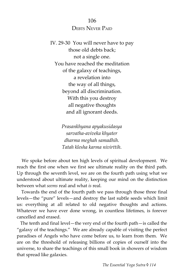### 106 DEBTS NEVER PAID

IV. 29-30 You will never have to pay those old debts back; not a single one. You have reached the meditation of the galaxy of teachings, a revelation into the way of all things, beyond all discrimination. With this you destroy all negative thoughts and all ignorant deeds.

> *Prasankhyana apyakusidasya sarvatha-aviveka khyater dharma meghah samadhih. Tatah klesha karma nivirttih.*

We spoke before about ten high levels of spiritual development. We reach the first one when we first see ultimate reality on the third path. Up through the seventh level, we are on the fourth path using what we understood about ultimate reality, keeping our mind on the distinction between what *seems* real and what *is* real.

Towards the end of the fourth path we pass through those three final levels—the "pure" levels—and destroy the last subtle seeds which limit us: everything at all related to old negative thoughts and actions. Whatever we have ever done wrong, in countless lifetimes, is forever cancelled and erased.

 The tenth and final level—the very end of the fourth path—is called the "galaxy of the teachings." We are already capable of visiting the perfect paradises of Angels who have come before us, to learn from them. We are on the threshold of releasing billions of copies of ourself into the universe, to share the teachings of this small book in showers of wisdom that spread like galaxies.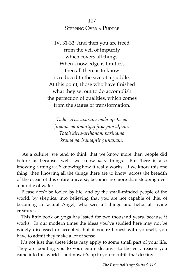107 STEPPING OVER A PUDDLE

IV. 31-32 And then you are freed from the veil of impurity which covers all things. When knowledge is limitless then all there is to know is reduced to the size of a puddle. At this point, those who have finished what they set out to do accomplish the perfection of qualities, which comes from the stages of transformation.

*Tada sarva-avarana mala-apetasya jnyanasya-anantyaj jnyeyam alpam. Tatah kirta-arthanam parinama krama parisamaptir gunanam.*

As a culture, we tend to think that we know more than people did before us because—well—we know *more* things. But there is also knowing a thing *well:* knowing how it really works. If we know this one thing, then knowing all the things there are to know, across the breadth of the ocean of this entire universe, becomes no more than stepping over a puddle of water.

Please don't be fooled by life, and by the small-minded people of the world, by skeptics, into believing that you are not capable of this, of becoming an actual Angel, who sees all things and helps all living creatures.

This little book on yoga has lasted for two thousand years, because it works. In our modern times the ideas you've studied here may not be widely discussed or accepted, but if you're honest with yourself, you have to admit they make a lot of sense.

It's not just that these ideas may apply to some small part of your life. They are pointing you to your entire destiny—to the very reason you came into this world—and now it's up to you to fulfill that destiny.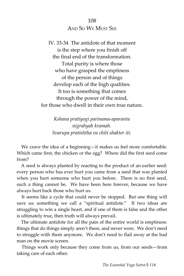108 **AND SO WE MUST SEE** 

IV. 33-34 The antidote of that moment is the step where you finish off the final end of the transformation. Total purity is where those who have grasped the emptiness of the person and of things develop each of the high qualities. It too is something that comes through the power of the mind, for those who dwell in their own true nature.

*Kshana pratiyogi parinama-aparanta nigrahyah kramah. Svarupa pratishtha va chiti shakter iti.*

We crave the idea of a beginning—it makes us feel more comfortable. Which came first, the chicken or the egg? Where did the first seed come from?

A seed is always planted by reacting to the product of an earlier seed: every person who has ever hurt you came from a seed that was planted when you hurt someone who hurt you before. There is no first seed, such a thing cannot be. We have been here forever, because we have always hurt back those who hurt us.

It seems like a cycle that could never be stopped. But one thing will save us: something we call a "spiritual antidote." If two ideas are struggling to win a single heart, and if one of them is false and the other is ultimately true, then truth will always prevail.

The ultimate antidote for all the pain of the entire world is emptiness: things that do things simply aren't there, and never were. We don't need to struggle with them anymore. We don't need to flail away at the bad man on the movie screen.

Things work only because they come from us, from our seeds—from taking care of each other.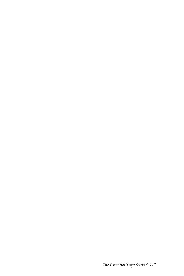*The Essential Yoga Sutra ◊ 117*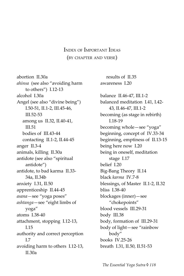### INDEX OF IMPORTANT IDEAS (BY CHAPTER AND VERSE)

abortion II.30a *ahinsa* (see also "avoiding harm to others") I.12-13 alcohol I.30a Angel (see also "divine being") I.50-51, II.1-2, III.45-46, III.52-53 among us II.32, II.40-41, III.51 bodies of III.43-44 contacting II.1-2, II.44-45 anger II.3-4 animals, killing II.30a antidote (see also "spiritual antidote") antidote, to bad karma II.33- 34a, II.34b anxiety I.31, II.50 apprenticeship II.44-45 *asana—*see "yoga poses" *ashtanga*—see "eight limbs of yoga" atoms I.38-40 attachment, stopping I.12-13, I.15 authority and correct perception I.7 avoiding harm to others I.12-13, II.30a

awareness I.20 balance II.46-47, III.1-2 balanced meditation I.41, I.42- 43, II.46-47, III.1-2 becoming (as stage in rebirth) I.18-19 becoming whole—see "yoga" beginning, concept of IV.33-34 beginning, emptiness of II.13-15 being here now I.20 being in oneself, meditation stage I.17 belief I.20 Big-Bang Theory II.14 black *karma* IV.7-8 blessings, of Master II.1-2, II.32 bliss I.38-40 blockages (inner)—see "chokepoints" blood vessels III.29-31 body III.38 body, formation of III.29-31 body of light—see "rainbow body" books IV.25-26 breath I.31, II.50, II.51-53

results of II.35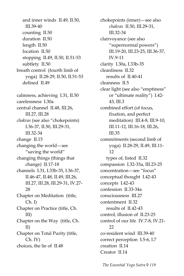and inner winds II.49, II.50, III.39-40 counting II.50 duration II.50 length II.50 location II.50 stopping II.49, II.50, II.51-53 subtlety II.50 breath control (fourth limb of yoga) II.28-29, II.50, II.51-53 defined II.49 calmness, achieving I.31, II.50 carelessness I.30a central channel II.48, III.26, III.27, III.28 *chakras* (see also "chokepoints) I.36-37, II.50, III.29-31, III.32-34 change II.15 changing the world—see "saving the world" changing things (things that change) II.17-18 channels I.31, I.33b-35, I.36-37, II.46-47, II.48, II.49, III.26, III.27, III.28, III.29-31, IV.27- 28 Chapter on Meditation (title, Ch. I) Chapter on Practice (title, Ch. III) Chapter on the Way (title, Ch. II) Chapter on Total Purity (title, Ch. IV) choices, the lie of II.48

chokepoints (inner)—see also *chakras* II.50, III.29-31, III.32-34 clairvoyance (see also "supernormal powers") III.19-20, III.23-25, III.36-37, IV.9-11 clarity I.30a, I.33b-35 cleanliness II.32 results of II.40-41 cleanness II.5 clear light (see also "emptiness" or "ultimate reality") I.42- 43, III.3 combined effort (of focus, fixation, and perfect meditation) III.4-8, III.9-10, III.11-12, III.16-18, III.26, III.35 commitments (second limb of yoga) II.28-29, II.49, III.11- 12 types of, listed II.32 compassion I.32-33a, III.23-25 concentration—see "focus" conceptual thought I.42-43 concepts I.42-43 confession II.33-34a consciousness III.27 contentment II.32 results of II.42-43 control, illusion of II.23-25 control of our life IV.7-8, IV.21- 22 co-resident wind III.39-40 correct perception I.5-6, I.7 creation II.14 Creator II.14

*The Essential Yoga Sutra ◊ 119*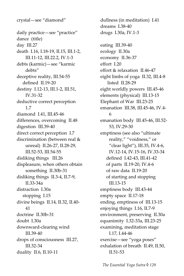crystal—see "diamond" daily practice—see "practice" dance (title) day III.27 death I.16, I.18-19, II.15, III.1-2, III.11-12, III.22.2, IV.1-3 debts (karmic)—see "karmic debts" deceptive reality, III.54-55 defined II.19-20 destiny I.12-13, III.1-2, III.51, IV.31-32 deductive correct perception 1.7 diamond I.41, III.45-46 differences, overcoming II.48 digestion III.39-40 direct correct perception I.7 discrimination (between real & unreal) II.26-27, II.28-29, III.52-53, III.54-55 disliking things III.26 displeasure, when others obtain something II.30b-31 disliking things II.3-4, II.7-9, II.33-34a distraction I.30a stopping I.15 divine beings II.14, II.32, II.40- 41 doctrine II.30b-31 doubt I.30a downward-clearing wind III.39-40 drops of consciousness III.27, III.32-34 duality II.6, II.10-11

dullness (in meditation) I.41 dreams I.38-40 drugs I.30a, IV.1-3 eating III.39-40 ecology II.30a economy II.36-37 effort I.20 effort & relaxation II.46-47 eight limbs of yoga II.32, III.4-8 listed II.28-29 eight worldly powers III.45-46 elements (physical) III.13-15 Elephant of War III.23-25 emanation III.38, III.45-46, IV.4- 6 emanation body III.45-46, III.52- 53, IV.29-30 emptiness (see also "ultimate reality," "voidness," or "clear light"), III.35, IV.4-6, IV.12-14, IV.15-16, IV.33-34 defined I.42-43, III.41-42 of parts II.19-20, IV.4-6 of raw data II.19-20 of starting and stopping III.13-15 emptiness body III.43-44 empty space II.17-18 ending, emptiness of III.13-15 enjoying things I.16, II.7-9 environment, preserving II.30a equanimity I.32-33a, III.23-25 examining, meditation stage I.17, I.44-46 exercise—see "yoga poses" exhalation of breath II.49, II.50, II.51-53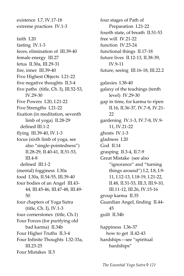existence I.7, IV.17-18 extreme practices IV.1-3 faith I.20 fasting IV.1-3 feces, elimination of III.39-40 female energy III.27 fetus II.30a, III.29-31 fire, inner III.39-40 Five Highest Objects I.21-22 five negative thoughts II.3-4 five paths (title, Ch. I), III.52-53, IV.29-30 Five Powers I.20, I.21-22 Five Strengths I.21-22 fixation (in meditation, seventh limb of yoga) II.28-29 defined III.1-2 flying III.39-40, IV.1-3 focus (sixth limb of yoga, see also "single-pointedness") II.28-29, II.40-41, II.51-53, III.4-8 defined III.1-2 (mental) fogginess I.30a food I.30a, II.54-55, III.39-40 four bodies of an Angel III.43- 44, III.45-46, III.47-48, III.49- 50 four chapters of Yoga Sutra (title, Ch. I), IV.1-3 four cornerstones (title, Ch.1) Four Forces (for purifying old bad karma) II.34b Four Higher Truths II.3-4 Four Infinite Thoughts I.32-33a, III.23-25 Four Mistakes II.5

four stages of Path of Preparation I.21-22 fourth state, of breath II.51-53 free will IV.21-22 function IV.23-24 functional things II.17-18 future lives II.12-13, II.38-39, IV.9-11 future, seeing III.16-18, III.22.2 galaxies I.38-40 galaxy of the teachings (tenth level) IV.29-30 gap in time, for karma to ripen II.16, II.36-37, IV.7-8, IV.21- 22 gardening IV.1-3, IV.7-8, IV.9- 11, IV.21-22 ghosts IV.1-3 gladness I.20 God II.14 grasping II.3-4, II.7-9 Great Mistake (see also "ignorance" and "turning things around") I.2, I.8, I.9- 11, I.12-13, I.18-19, I.21-22, II.48, II.51-53, III.3, III.9-10, III.11-12, III.26, IV.15-16 group karma II.35 Guardian Angel, finding II.44- 45 guilt II.34b happiness I.36-37 how to get II.42-43 hardships—see "spiritual hardships"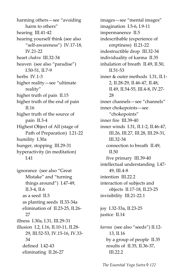harming others—see "avoiding harm to others" hearing III.41-42 hearing yourself think (see also "self-awareness") IV.17-18, IV.21-22 heart *chakra* III.32-34 heaven (see also "paradise") I.50-51, II.7-9 herbs IV.1-3 higher reality—see "ultimate reality" higher truth of pain II.15 higher truth of the end of pain II.16 higher truth of the source of pain II.3-4 Highest Object of All (stage of Path of Preparation) I.21-22 humility I.30a hunger, stopping III.29-31 hyperactivity (in meditation) I.41

ignorance (see also "Great Mistake" and "turning things around") I.47-49, II.3-4, II.6 as a seed II.5 as planting seeds II.33-34a elimination of II.23-25, II.26- 27 illness I.30a, I.31, III.29-31 illusion I.2, I.16, II.10-11, II.28- 29, III.52-53, IV.15-16, IV.33- 34 defined I.42-43 eliminating II.26-27

images—see "mental images" imagination I.5-6, I.9-11 impermanence II.5 indescribable (experience of emptiness) II.21-22 indestructible drop III.32-34 individuality of karma II.35 inhalation of breath II.49, II.50, II.51-53 inner & outer methods I.31, II.1- 2, II.28-29, II.46-47, II.48, II.49, II.54-55, III.4-8, IV.27- 28 inner channels—see "channels" inner chokepoints—see "chokepoints" inner fire III.39-40 inner winds I.31, II.1-2, II.46-47, III.26, III.27, III.28, III.29-31, III.32-34 connection to breath II.49, II.50 five primary III.39-40 intellectual understanding I.47- 49, III.4-8 intention III.22.2 interaction of subjects and objects II.17-18, II.23-25 invisibility III.21-22.1 joy I.32-33a, II.23-25 justice II.14

*karma* (see also "seeds") II.12- 13, II.16 by a group of people II.35 results of II.35, II.36-37, III.22.2

*The Essential Yoga Sutra ◊ 122*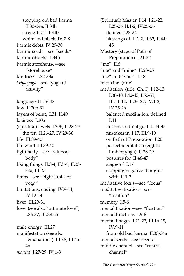stopping old bad karma II.33-34a, II.34b strength of II.34b white and black IV.7-8 karmic debts IV.29-30 karmic seeds—see "seeds" karmic objects II.34b karmic storehouse—see "storehouse" kindness I.32-33a *kriya yoga—*see "yoga of activity" language III.16-18 law II.30b-31 layers of being I.31, II.49 laziness I.30a (spiritual) levels I.30b, II.28-29 the ten II.26-27, IV.29-30 life III.39-40 life wind III.39-40 light body—see "rainbow body" liking things II.3-4, II.7-9, II.33- 34a, III.27 limbs—see "eight limbs of yoga" limitations, ending IV.9-11, IV.12-14 liver III.29-31 love (see also "ultimate love") I.36-37, III.23-25 male energy III.27 manifestation (see also

"emanation") III.38, III.45-46 *mantra* I.27-29, IV.1-3

(Spiritual) Master I.14, I.21-22, I.25-26, II.1-2, IV.25-26 defined I.23-24 blessings of II.1-2, II.32, II.44- 45 Mastery (stage of Path of Preparation) I.21-22 "me" II.6 "me" and "mine" II.23-25 "me" and "you" II.48 medicine (title) meditation (title, Ch. I), I.12-13, I.38-40, I.42-43, I.50-51, III.11-12, III.36-37, IV.1-3, IV.25-26 balanced meditation, defined I.41 in sense of final goal II.44-45 mistakes in I.17, III.9-10 on Path of Preparation I.20 perfect meditation (eighth limb of yoga) II.28-29 postures for II.46-47 stages of I.17 stopping negative thoughts with II.1-2 meditative focus—see "focus" meditative fixation—see "fixation" memory I.5-6 mental fixation—see "fixation" mental functions I.5-6 mental images I.21-22, III.16-18, IV.9-11 from old bad karma II.33-34a mental seeds—see "seeds" middle channel—see "central channel"

*The Essential Yoga Sutra ◊ 123*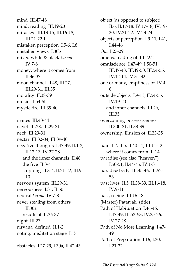mind III.47-48 mind, reading III.19-20 miracles III.13-15, III.16-18, III.21-22.1 mistaken perception I.5-6, I.8 mistaken views I.30b mixed white & black *karma* IV.7-8 money, where it comes from II.36-37 moon channel II.48, III.27, III.29-31, III.35 morality II.38-39 music II.54-55 mystic fire III.39-40 names III.43-44 navel III.28, III.29-31 neck III.29-31 nectar III.32-34, III.39-40 negative thoughts I.47-49, II.1-2, II.12-13, IV.27-28 and the inner channels II.48 the five II.3-4 stopping II.3-4, II.21-22, III.9- 10 nervous system III.29-31 nervousness I.31, II.50 neutral *karma* IV.7-8 never stealing from others II.30a results of II.36-37 night III.27 nirvana, defined II.1-2 noting, meditation stage I.17 obstacles I.27-29, I.30a, II.42-43

object (as opposed to subject) II.6, II.17-18, IV.17-18, IV.19- 20, IV.21-22, IV.23-24 objects of perception I.9-11, I.41, I.44-46 *Om* I.27-29 omens, reading of III.22.2 omniscience I.47-49, I.50-51, III.47-48, III.49-50, III.54-55, IV.12-14, IV.31-32 one or many, emptiness of IV.4- 6 outside objects I.9-11, II.54-55, IV.19-20 and inner channels III.26, III.35 overcoming possessiveness II.30b-31, II.38-39 ownership, illusion of II.23-25 pain I.2, II.5, II.40-41, III.11-12 where it comes from II.14 paradise (see also "heaven") I.50-51, II.44-45, IV.1-3 paradise body III.45-46, III.52- 53 past lives II.5, II.38-39, III.16-18, IV.9-11 past, seeing III.16-18 (Master) Patanjali (title) Path of Habituation I.44-46, I.47-49, III.52-53, IV.25-26, IV.27-28 Path of No More Learning I.47- 49 Path of Preparation I.16, I.20, I.21-22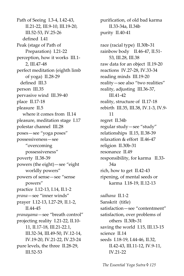Path of Seeing I.3-4, I.42-43, II.21-22, III.9-10, III.19-20, III.52-53, IV.25-26 defined I.41 Peak (stage of Path of Preparation) I.21-22 perception, how it works III.1- 2, III.47-48 perfect meditation (eighth limb of yoga) II.28-29 defined III.3 person III.35 pervasive wind III.39-40 place II.17-18 pleasure II.5 where it comes from II.14 pleasure, meditation stage I.17 polestar channel III.28 poses—see "yoga poses" possessiveness—see "overcoming possessiveness" poverty II.38-39 powers (the eight)—see "eight worldly powers" powers of sense—see "sense powers" practice I.12-13, I.14, II.1-2 *prana*—see "inner winds" prayer I.12-13, I.27-29, II.1-2, II.44-45 *pranayama*—see "breath control" projecting reality I.21-22, II.10- 11, II.17-18, III.21-22.1, III.32-34, III.49-50, IV.12-14, IV.19-20, IV.21-22, IV.23-24 pure levels, the three II.28-29, III.52-53

purification, of old bad karma II.33-34a, II.34b purity II.40-41 race (racial type) II.30b-31 rainbow body II.46-47, II.51- 53, III.28, III.38 raw data for an object II.19-20 reactions IV.27-28, IV.33-34 reading minds III.19-20 reality—see also "two realities" reality, adjusting III.36-37, III.41-42 reality, structure of II.17-18 rebirth III.35, III.38, IV.1-3, IV.9- 11 regret II.34b regular study—see "study" relationships II.15, II.38-39 relaxation & effort II.46-47 religion II.30b-31 resonance II.49 responsibility, for karma II.33- 34a rich, how to get II.42-43 ripening, of mental seeds or karma I.18-19, II.12-13 *sadhana* II.1-2 Sanskrit (title) satisfaction—see "contentment" satisfaction, over problems of

*The Essential Yoga Sutra ◊ 125*

others II.30b-31

seeds I.18-19, I.44-46, II.32,

science II.14

IV.21-22

saving the world I.15, III.13-15

II.42-43, III.11-12, IV.9-11,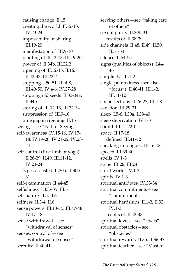causing change II.15 creating the world II.12-13, IV.23-24 impossibility of sharing III.19-20 manifestation of III.9-10 planting of II.12-13, III.19-20 power of II.34b, III.22.2 ripening of II.12-13, II.16, II.42-43, III.22.2 stopping I.50-51, III.4-8, III.49-50, IV.4-6, IV.27-28 stopping old seeds II.33-34a, II.34b storing of II.12-13, III.32-34 suppression of III.9-10 time gap in ripening II.16 seeing—see "Path of Seeing" self-awareness IV.15-16, IV.17- 18, IV.19-20, IV.21-22, IV.23- 24 self-control (first limb of yoga) II.28-29, II.49, III.11-12, IV.23-24 types of, listed II.30a, II.30b-31 self-examination II.44-45 selfishness I.33b-35, III.51 self-nature II.5, II.6 selfness II.3-4, II.6 sense powers III.13-15, III.47-48, IV.17-18 sense withdrawal—see "withdrawal of senses" senses, control of—see "withdrawal of senses" serenity II.40-41

serving others—see "taking care of others" sexual purity II.30b-31 results of II.38-39 side channels II.48, II.49, II.50, II.51-53 silence II.54-55 signs (qualities of objects) I.44- 46 simplicity III.1-2 single-pointedness (see also "focus") II.40-41, III.1-2, III.11-12 six perfections II.26-27, III.4-8 skeleton III.29-31 sleep I.5-6, I.30a, I.38-40 sleep deprivation IV.1-3 sound III.21-22.1 space II.17-18 defined III.41-42 speaking in tongues III.16-18 speech III.39-40 spells IV.1-3 spine III.26, III.28 spirit world IV.1-3 spirits IV.1-3 spiritual antidotes IV.33-34 spiritual commitments—see "commitments" spiritual hardships II.1-2, II.32, IV.1-3 results of II.42-43 spiritual levels—see "levels" spiritual obstacles—see "obstacles" spiritual rewards II.35, II.36-37 spiritual teacher—see "Master"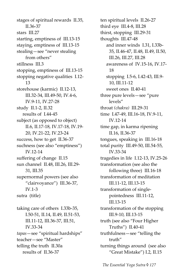stages of spiritual rewards II.35, II.36-37 stars III.27 starting, emptiness of III.13-15 staying, emptiness of III.13-15 stealing—see "never stealing from others" stillness III.3 stopping, emptiness of III.13-15 stopping negative qualities I.12- 13 storehouse (karmic) II.12-13, III.32-34, III.49-50, IV.4-6, IV.9-11, IV.27-28 study II.1-2, II.32 results of I.44-45 subject (as opposed to object) II.6, II.17-18, IV.17-18, IV.19- 20, IV.21-22, IV.23-24 success, how to get II.36-37 suchness (see also "emptiness") IV.12-14 suffering of change II.15 sun channel II.48, III.26, III.29- 31, III.35 supernormal powers (see also "clairvoyance") III.36-37, IV.1-3 sutra (title) taking care of others I.33b-35,

I.50-51, II.14, II.49, II.51-53, III.11-12, III.36-37, III.51, IV.33-34 *tapas*—see "spiritual hardships" teacher—see "Master" telling the truth II.30a results of II.36-37

ten spiritual levels II.26-27 third eye III.4-8, III.28 thirst, stopping III.29-31 thoughts III.47-48 and inner winds I.31, I.33b-35, II.46-47, II.48, II.49, II.50, III.26, III.27, III.28 awareness of IV.15-16, IV.17- 18 stopping I.5-6, I.42-43, III.9- 10, III.11-12 sweet ones II.40-41 three pure levels—see "pure levels" throat *(chakra)* III.29-31 time I.47-49, III.16-18, IV.9-11, IV.12-14 time gap, in karma ripening II.16, II.36-37 tongues, speaking in III.16-18 total purity III.49-50, III.54-55, IV.33-34 tragedies in life I.12-13, IV.25-26 transformation (see also the following three) III.16-18 transformation of meditation III.11-12, III.13-15 transformation of singlepointedness III.11-12, III.13-15 transformation of the stopping III.9-10, III.13-15 truth (see also "Four Higher Truths") II.40-41 truthfulness—see "telling the truth" turning things around (see also "Great Mistake") I.2, II.15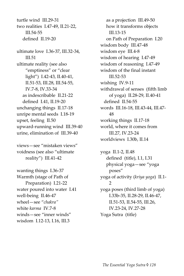turtle wind III.29-31 two realities I.47-49, II.21-22, III.54-55 defined II.19-20

ultimate love I.36-37, III.32-34, III.51 ultimate reality (see also "emptiness" or "clear light") I.42-43, II.40-41, II.51-53, III.28, III.54-55, IV.7-8, IV.33-34 as indescribable II.21-22 defined I.41, II.19-20 unchanging things II.17-18 unripe mental seeds I.18-19 upset, feeling II.50 upward-running wind III.39-40 urine, elimination of III.39-40

views—see "mistaken views" voidness (see also "ultimate reality") III.41-42

wanting things I.36-37 Warmth (stage of Path of Preparation) I.21-22 water poured into water I.41 well-being II.46-47 wheel—see "*chakra"* white *karma* IV.7-8 winds—see "inner winds" wisdom I.12-13, I.16, III.3

 as a projection III.49-50 how it transforms objects III.13-15 on Path of Preparation I.20 wisdom body III.47-48 wisdom eye III.4-8 wisdom of hearing I.47-49 wisdom of reasoning I.47-49 wisdom of the final instant III.52-53 wishing IV.9-11 withdrawal of senses (fifth limb of yoga) II.28-29, II.40-41 defined II.54-55 words III.16-18, III.43-44, III.47- 48 working things II.17-18 world, where it comes from III.27, IV.23-24 worldviews I.30b, II.14

yoga II.1-2, II.48 defined (title), I.1, I.31 physical yoga—see "yoga poses" yoga of activity (*kriya yoga*) II.1- 2 yoga poses (third limb of yoga) I.33b-35, II.28-29, II.46-47, II.51-53, II.54-55, III.26, IV.23-24, IV.27-28 Yoga Sutra (title)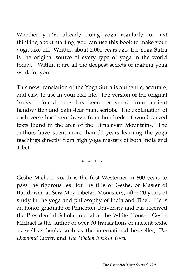Whether you're already doing yoga regularly, or just thinking about starting, you can use this book to make your yoga take off. Written about 2,000 years ago, the Yoga Sutra is the original source of every type of yoga in the world today. Within it are all the deepest secrets of making yoga work for you.

This new translation of the Yoga Sutra is authentic, accurate, and easy to use in your real life. The version of the original Sanskrit found here has been recovered from ancient handwritten and palm-leaf manuscripts. The explanation of each verse has been drawn from hundreds of wood-carved texts found in the area of the Himalayan Mountains. The authors have spent more than 30 years learning the yoga teachings directly from high yoga masters of both India and Tibet.

\* \* \* \*

Geshe Michael Roach is the first Westerner in 600 years to pass the rigorous test for the title of Geshe, or Master of Buddhism, at Sera Mey Tibetan Monastery, after 20 years of study in the yoga and philosophy of India and Tibet. He is an honor graduate of Princeton University and has received the Presidential Scholar medal at the White House. Geshe Michael is the author of over 30 translations of ancient texts, as well as books such as the international bestseller, *The Diamond Cutter,* and *The Tibetan Book of Yoga.*